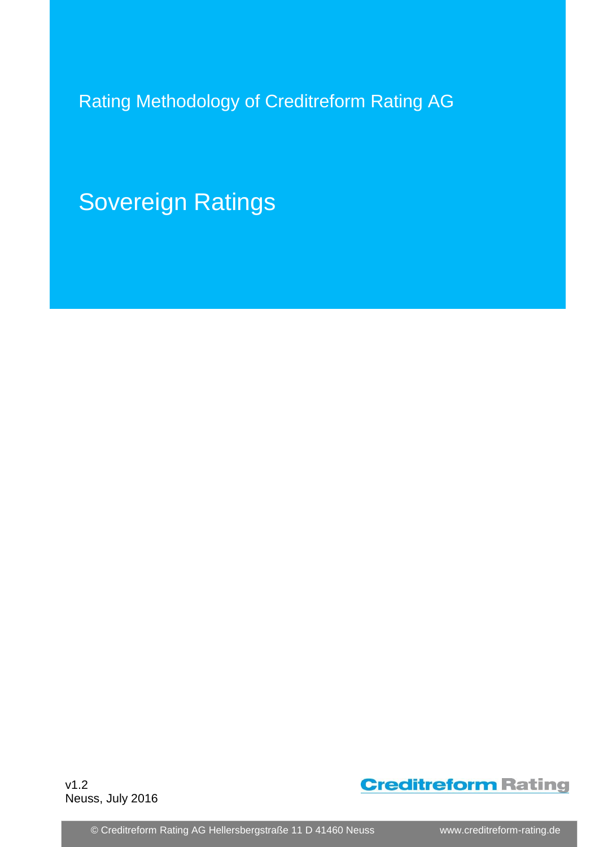Rating Methodology of Creditreform Rating AG

Sovereign Ratings

v1.2 Neuss, July 2016



© Creditreform Rating AG Hellersbergstraße 11 D 41460 Neuss www.creditreform-rating.de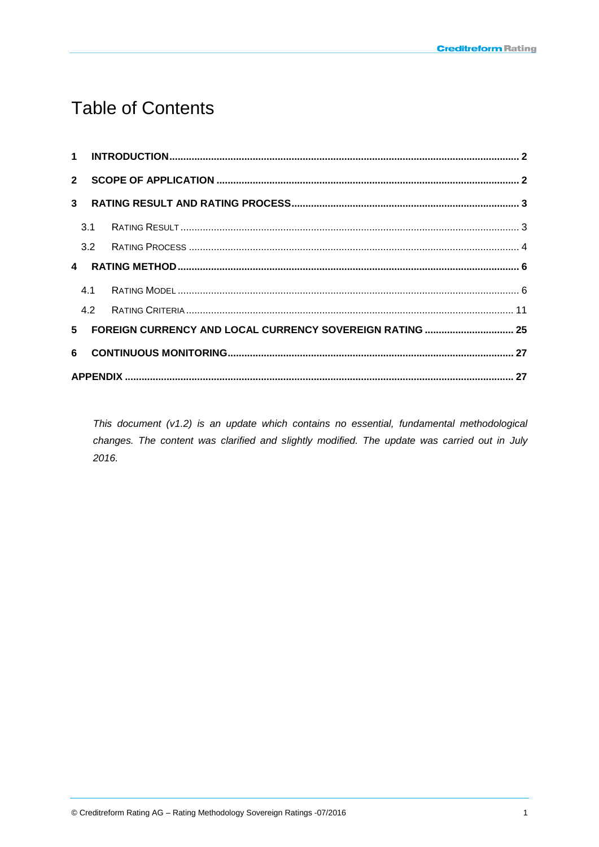# **Table of Contents**

|       | $2^{\circ}$ |  |  |  |  |  |  |  |  |  |
|-------|-------------|--|--|--|--|--|--|--|--|--|
|       |             |  |  |  |  |  |  |  |  |  |
|       | 3.1         |  |  |  |  |  |  |  |  |  |
|       |             |  |  |  |  |  |  |  |  |  |
|       |             |  |  |  |  |  |  |  |  |  |
|       | 4.1         |  |  |  |  |  |  |  |  |  |
|       | 4.2         |  |  |  |  |  |  |  |  |  |
| $5 -$ |             |  |  |  |  |  |  |  |  |  |
| 6     |             |  |  |  |  |  |  |  |  |  |
|       |             |  |  |  |  |  |  |  |  |  |

This document (v1.2) is an update which contains no essential, fundamental methodological changes. The content was clarified and slightly modified. The update was carried out in July 2016.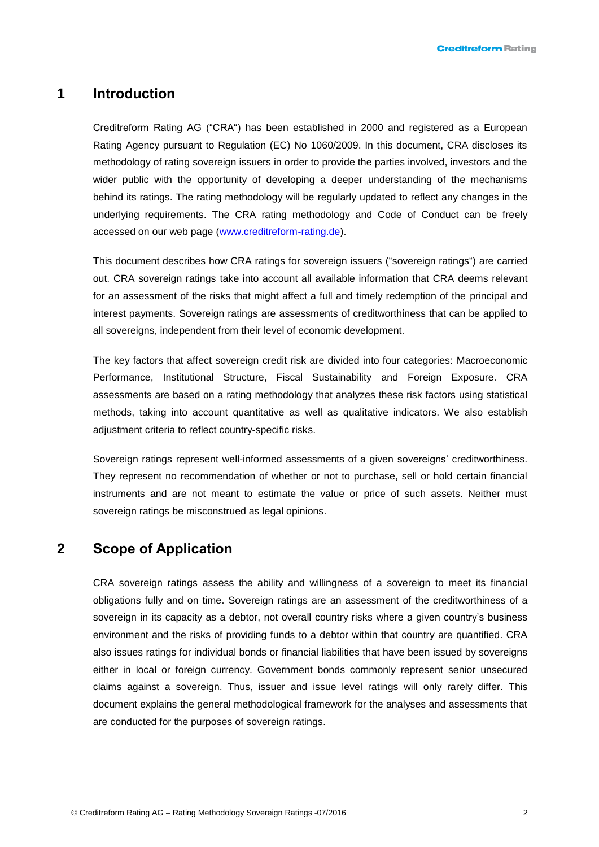### <span id="page-2-0"></span>**1 Introduction**

Creditreform Rating AG ("CRA") has been established in 2000 and registered as a European Rating Agency pursuant to Regulation (EC) No 1060/2009. In this document, CRA discloses its methodology of rating sovereign issuers in order to provide the parties involved, investors and the wider public with the opportunity of developing a deeper understanding of the mechanisms behind its ratings. The rating methodology will be regularly updated to reflect any changes in the underlying requirements. The CRA rating methodology and Code of Conduct can be freely accessed on our web page [\(www.creditreform-rating.de\)](http://www.creditreform-rating.de/).

This document describes how CRA ratings for sovereign issuers ("sovereign ratings") are carried out. CRA sovereign ratings take into account all available information that CRA deems relevant for an assessment of the risks that might affect a full and timely redemption of the principal and interest payments. Sovereign ratings are assessments of creditworthiness that can be applied to all sovereigns, independent from their level of economic development.

The key factors that affect sovereign credit risk are divided into four categories: Macroeconomic Performance, Institutional Structure, Fiscal Sustainability and Foreign Exposure. CRA assessments are based on a rating methodology that analyzes these risk factors using statistical methods, taking into account quantitative as well as qualitative indicators. We also establish adjustment criteria to reflect country-specific risks.

Sovereign ratings represent well-informed assessments of a given sovereigns' creditworthiness. They represent no recommendation of whether or not to purchase, sell or hold certain financial instruments and are not meant to estimate the value or price of such assets. Neither must sovereign ratings be misconstrued as legal opinions.

# <span id="page-2-1"></span>**2 Scope of Application**

CRA sovereign ratings assess the ability and willingness of a sovereign to meet its financial obligations fully and on time. Sovereign ratings are an assessment of the creditworthiness of a sovereign in its capacity as a debtor, not overall country risks where a given country's business environment and the risks of providing funds to a debtor within that country are quantified. CRA also issues ratings for individual bonds or financial liabilities that have been issued by sovereigns either in local or foreign currency. Government bonds commonly represent senior unsecured claims against a sovereign. Thus, issuer and issue level ratings will only rarely differ. This document explains the general methodological framework for the analyses and assessments that are conducted for the purposes of sovereign ratings.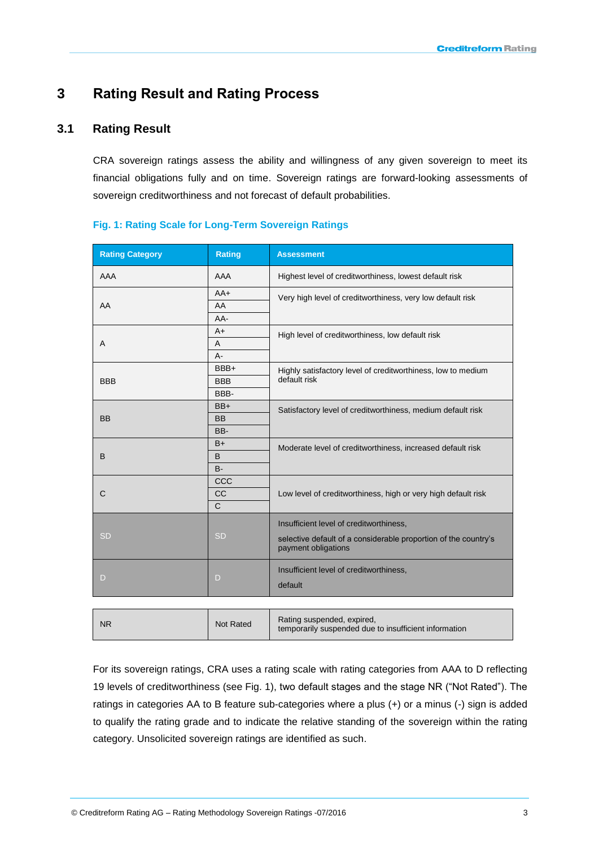# <span id="page-3-0"></span>**3 Rating Result and Rating Process**

### <span id="page-3-1"></span>**3.1 Rating Result**

CRA sovereign ratings assess the ability and willingness of any given sovereign to meet its financial obligations fully and on time. Sovereign ratings are forward-looking assessments of sovereign creditworthiness and not forecast of default probabilities.

| <b>Rating Category</b> | <b>Rating</b>    | <b>Assessment</b>                                                                      |  |  |  |  |
|------------------------|------------------|----------------------------------------------------------------------------------------|--|--|--|--|
| AAA                    | AAA              | Highest level of creditworthiness, lowest default risk                                 |  |  |  |  |
|                        | $AA+$            | Very high level of creditworthiness, very low default risk                             |  |  |  |  |
| AA                     | AA               |                                                                                        |  |  |  |  |
|                        | AA-              |                                                                                        |  |  |  |  |
|                        | $A+$             | High level of creditworthiness, low default risk                                       |  |  |  |  |
| A                      | Α                |                                                                                        |  |  |  |  |
|                        | $A -$            |                                                                                        |  |  |  |  |
|                        | BBB+             | Highly satisfactory level of creditworthiness, low to medium                           |  |  |  |  |
| <b>BBB</b>             | <b>BBB</b>       | default risk                                                                           |  |  |  |  |
|                        | BBB-             |                                                                                        |  |  |  |  |
|                        | $BB+$            | Satisfactory level of creditworthiness, medium default risk                            |  |  |  |  |
| <b>BB</b>              | <b>BB</b>        |                                                                                        |  |  |  |  |
|                        | BB-              |                                                                                        |  |  |  |  |
|                        | $B+$             | Moderate level of creditworthiness, increased default risk                             |  |  |  |  |
| В                      | B                |                                                                                        |  |  |  |  |
|                        | $B -$            |                                                                                        |  |  |  |  |
|                        | CCC              |                                                                                        |  |  |  |  |
| С                      | cc               | Low level of creditworthiness, high or very high default risk                          |  |  |  |  |
|                        | $\mathsf{C}$     |                                                                                        |  |  |  |  |
|                        |                  | Insufficient level of creditworthiness,                                                |  |  |  |  |
| SD                     | <b>SD</b>        | selective default of a considerable proportion of the country's<br>payment obligations |  |  |  |  |
| D                      |                  | Insufficient level of creditworthiness,                                                |  |  |  |  |
|                        | D                | default                                                                                |  |  |  |  |
|                        |                  |                                                                                        |  |  |  |  |
| <b>NR</b>              | <b>Not Rated</b> | Rating suspended, expired,<br>temporarily suspended due to insufficient information    |  |  |  |  |

#### **Fig. 1: Rating Scale for Long-Term Sovereign Ratings**

For its sovereign ratings, CRA uses a rating scale with rating categories from AAA to D reflecting 19 levels of creditworthiness (see Fig. 1), two default stages and the stage NR ("Not Rated"). The ratings in categories AA to B feature sub-categories where a plus (+) or a minus (-) sign is added to qualify the rating grade and to indicate the relative standing of the sovereign within the rating category. Unsolicited sovereign ratings are identified as such.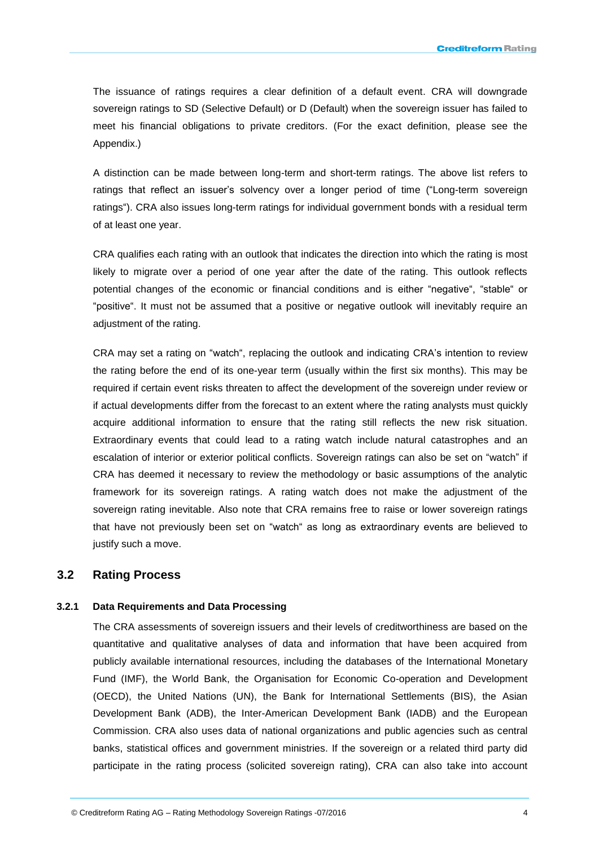The issuance of ratings requires a clear definition of a default event. CRA will downgrade sovereign ratings to SD (Selective Default) or D (Default) when the sovereign issuer has failed to meet his financial obligations to private creditors. (For the exact definition, please see the Appendix.)

A distinction can be made between long-term and short-term ratings. The above list refers to ratings that reflect an issuer's solvency over a longer period of time ("Long-term sovereign ratings"). CRA also issues long-term ratings for individual government bonds with a residual term of at least one year.

CRA qualifies each rating with an outlook that indicates the direction into which the rating is most likely to migrate over a period of one year after the date of the rating. This outlook reflects potential changes of the economic or financial conditions and is either "negative", "stable" or "positive". It must not be assumed that a positive or negative outlook will inevitably require an adjustment of the rating.

CRA may set a rating on "watch", replacing the outlook and indicating CRA's intention to review the rating before the end of its one-year term (usually within the first six months). This may be required if certain event risks threaten to affect the development of the sovereign under review or if actual developments differ from the forecast to an extent where the rating analysts must quickly acquire additional information to ensure that the rating still reflects the new risk situation. Extraordinary events that could lead to a rating watch include natural catastrophes and an escalation of interior or exterior political conflicts. Sovereign ratings can also be set on "watch" if CRA has deemed it necessary to review the methodology or basic assumptions of the analytic framework for its sovereign ratings. A rating watch does not make the adjustment of the sovereign rating inevitable. Also note that CRA remains free to raise or lower sovereign ratings that have not previously been set on "watch" as long as extraordinary events are believed to justify such a move.

### <span id="page-4-0"></span>**3.2 Rating Process**

#### **3.2.1 Data Requirements and Data Processing**

The CRA assessments of sovereign issuers and their levels of creditworthiness are based on the quantitative and qualitative analyses of data and information that have been acquired from publicly available international resources, including the databases of the International Monetary Fund (IMF), the World Bank, the Organisation for Economic Co-operation and Development (OECD), the United Nations (UN), the Bank for International Settlements (BIS), the Asian Development Bank (ADB), the Inter-American Development Bank (IADB) and the European Commission. CRA also uses data of national organizations and public agencies such as central banks, statistical offices and government ministries. If the sovereign or a related third party did participate in the rating process (solicited sovereign rating), CRA can also take into account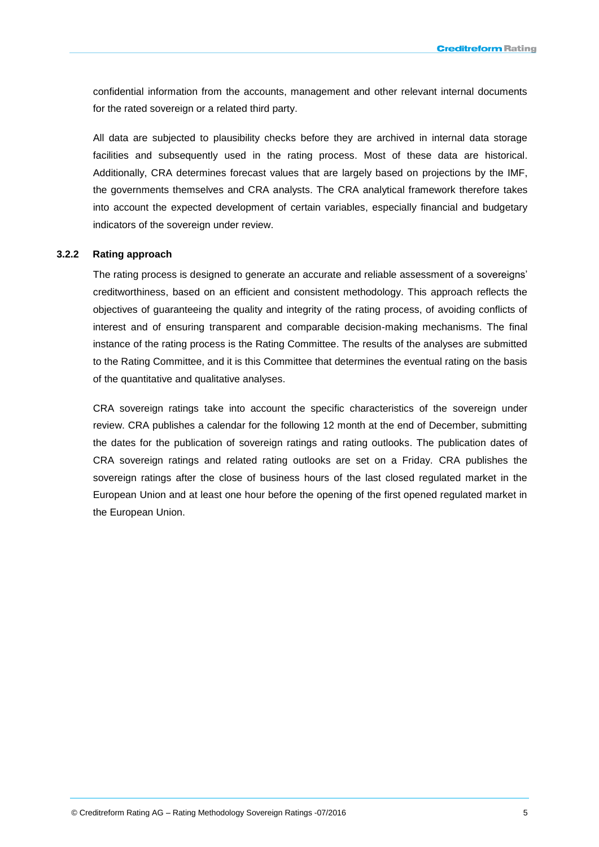confidential information from the accounts, management and other relevant internal documents for the rated sovereign or a related third party.

All data are subjected to plausibility checks before they are archived in internal data storage facilities and subsequently used in the rating process. Most of these data are historical. Additionally, CRA determines forecast values that are largely based on projections by the IMF, the governments themselves and CRA analysts. The CRA analytical framework therefore takes into account the expected development of certain variables, especially financial and budgetary indicators of the sovereign under review.

#### **3.2.2 Rating approach**

The rating process is designed to generate an accurate and reliable assessment of a sovereigns' creditworthiness, based on an efficient and consistent methodology. This approach reflects the objectives of guaranteeing the quality and integrity of the rating process, of avoiding conflicts of interest and of ensuring transparent and comparable decision-making mechanisms. The final instance of the rating process is the Rating Committee. The results of the analyses are submitted to the Rating Committee, and it is this Committee that determines the eventual rating on the basis of the quantitative and qualitative analyses.

CRA sovereign ratings take into account the specific characteristics of the sovereign under review. CRA publishes a calendar for the following 12 month at the end of December, submitting the dates for the publication of sovereign ratings and rating outlooks. The publication dates of CRA sovereign ratings and related rating outlooks are set on a Friday. CRA publishes the sovereign ratings after the close of business hours of the last closed regulated market in the European Union and at least one hour before the opening of the first opened regulated market in the European Union.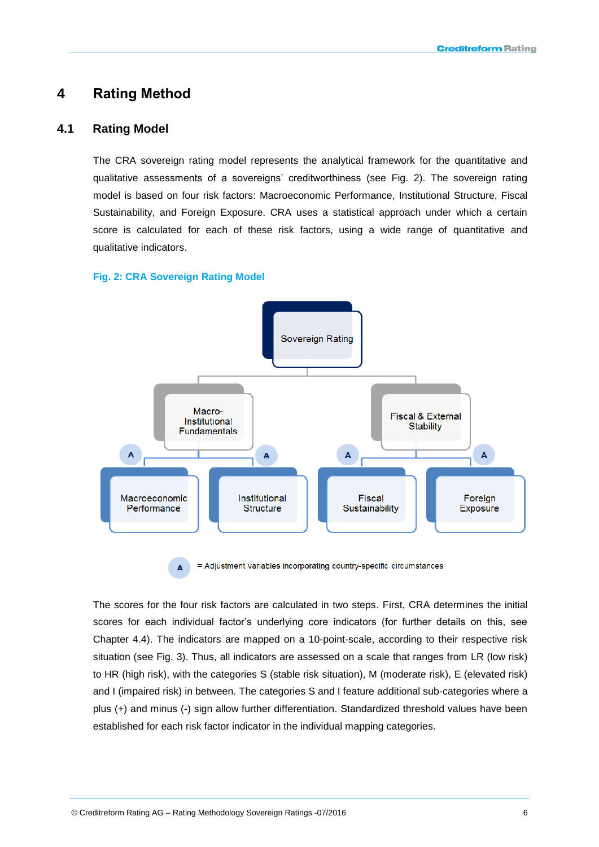# <span id="page-6-0"></span>**4 Rating Method**

### <span id="page-6-1"></span>**4.1 Rating Model**

The CRA sovereign rating model represents the analytical framework for the quantitative and qualitative assessments of a sovereigns' creditworthiness (see Fig. 2). The sovereign rating model is based on four risk factors: Macroeconomic Performance, Institutional Structure, Fiscal Sustainability, and Foreign Exposure. CRA uses a statistical approach under which a certain score is calculated for each of these risk factors, using a wide range of quantitative and qualitative indicators.

### **Fig. 2: CRA Sovereign Rating Model**



= Adjustment variables incorporating country-specific circumstances  $\overline{A}$ 

The scores for the four risk factors are calculated in two steps. First, CRA determines the initial scores for each individual factor's underlying core indicators (for further details on this, see Chapter 4.4). The indicators are mapped on a 10-point-scale, according to their respective risk situation (see Fig. 3). Thus, all indicators are assessed on a scale that ranges from LR (low risk) to HR (high risk), with the categories S (stable risk situation), M (moderate risk), E (elevated risk) and I (impaired risk) in between. The categories S and I feature additional sub-categories where a plus (+) and minus (-) sign allow further differentiation. Standardized threshold values have been established for each risk factor indicator in the individual mapping categories.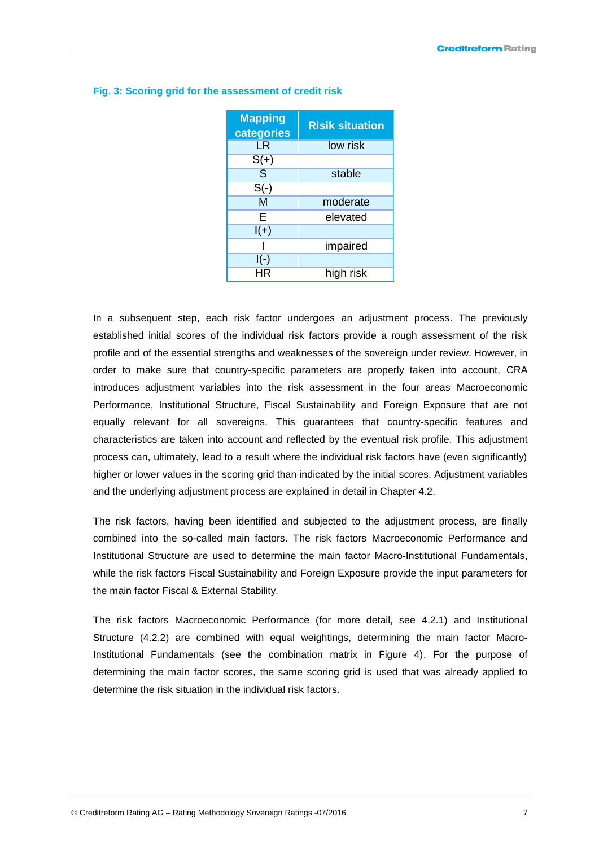| <b>Mapping</b><br>categories | <b>Risik situation</b> |
|------------------------------|------------------------|
| l R                          | low risk               |
| $S(+)$                       |                        |
| $\overline{\mathsf{S}}$      | stable                 |
| $S(-)$                       |                        |
| $\overline{\mathsf{M}}$      | moderate               |
| Е                            | elevated               |
| $I(+)$                       |                        |
|                              | impaired               |
| $I(-)$                       |                        |
| HR                           | high risk              |

#### **Fig. 3: Scoring grid for the assessment of credit risk**

In a subsequent step, each risk factor undergoes an adjustment process. The previously established initial scores of the individual risk factors provide a rough assessment of the risk profile and of the essential strengths and weaknesses of the sovereign under review. However, in order to make sure that country-specific parameters are properly taken into account, CRA introduces adjustment variables into the risk assessment in the four areas Macroeconomic Performance, Institutional Structure, Fiscal Sustainability and Foreign Exposure that are not equally relevant for all sovereigns. This guarantees that country-specific features and characteristics are taken into account and reflected by the eventual risk profile. This adjustment process can, ultimately, lead to a result where the individual risk factors have (even significantly) higher or lower values in the scoring grid than indicated by the initial scores. Adjustment variables and the underlying adjustment process are explained in detail in Chapter 4.2.

The risk factors, having been identified and subjected to the adjustment process, are finally combined into the so-called main factors. The risk factors Macroeconomic Performance and Institutional Structure are used to determine the main factor Macro-Institutional Fundamentals, while the risk factors Fiscal Sustainability and Foreign Exposure provide the input parameters for the main factor Fiscal & External Stability.

The risk factors Macroeconomic Performance (for more detail, see 4.2.1) and Institutional Structure (4.2.2) are combined with equal weightings, determining the main factor Macro-Institutional Fundamentals (see the combination matrix in Figure 4). For the purpose of determining the main factor scores, the same scoring grid is used that was already applied to determine the risk situation in the individual risk factors.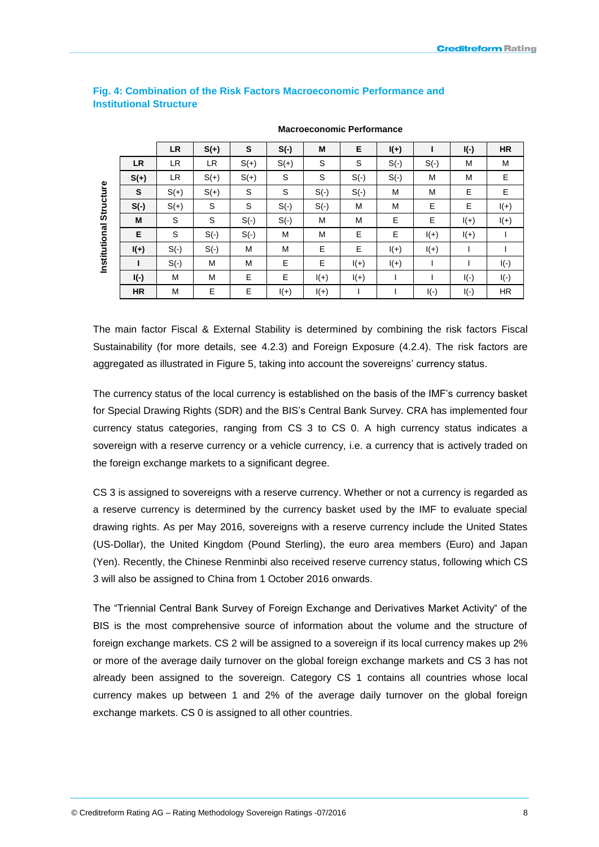|               |           | <b>LR</b> | $S(+)$     | S          | $S(-)$ | M      | Е          | $I(+)$ |            | $I(-)$ | <b>HR</b>  |
|---------------|-----------|-----------|------------|------------|--------|--------|------------|--------|------------|--------|------------|
|               | <b>LR</b> | LR        | LR         | $S(+)$     | $S(+)$ | S      | S          | $S(-)$ | $S(\cdot)$ | M      | M          |
|               | $S(+)$    | LR        | $S(+)$     | $S(+)$     | S      | S      | $S(-)$     | $S(-)$ | M          | M      | Е          |
| Structure     | S         | $S(+)$    | $S(+)$     | S          | S      | $S(-)$ | $S(\cdot)$ | M      | M          | Е      | E.         |
|               | $S(-)$    | $S(+)$    | S          | S          | $S(-)$ | $S(-)$ | M          | M      | Е          | Е      | $I(+)$     |
|               | M         | S         | S          | $S(-)$     | $S(-)$ | M      | M          | E      | Е          | $I(+)$ | $I(+)$     |
|               | E         | S         | $S(\cdot)$ | $S(\cdot)$ | M      | M      | Е          | Е      | $I(+)$     | $I(+)$ |            |
| Institutional | $I(+)$    | $S(-)$    | $S(-)$     | M          | M      | E      | Е          | $I(+)$ | $I(+)$     |        |            |
|               |           | $S(-)$    | M          | M          | E      | E      | $I(+)$     | $I(+)$ |            |        | $I(-)$     |
|               | $I(-)$    | M         | M          | E          | E      | $I(+)$ | $I(+)$     |        |            | $I(-)$ | $I(\cdot)$ |
|               | <b>HR</b> | M         | Е          | E          | $I(+)$ | $I(+)$ |            |        | $I(\cdot)$ | $I(-)$ | <b>HR</b>  |

#### **Fig. 4: Combination of the Risk Factors Macroeconomic Performance and Institutional Structure**

**Macroeconomic Performance**

The main factor Fiscal & External Stability is determined by combining the risk factors Fiscal Sustainability (for more details, see 4.2.3) and Foreign Exposure (4.2.4). The risk factors are aggregated as illustrated in Figure 5, taking into account the sovereigns' currency status.

The currency status of the local currency is established on the basis of the IMF's currency basket for Special Drawing Rights (SDR) and the BIS's Central Bank Survey. CRA has implemented four currency status categories, ranging from CS 3 to CS 0. A high currency status indicates a sovereign with a reserve currency or a vehicle currency, i.e. a currency that is actively traded on the foreign exchange markets to a significant degree.

CS 3 is assigned to sovereigns with a reserve currency. Whether or not a currency is regarded as a reserve currency is determined by the currency basket used by the IMF to evaluate special drawing rights. As per May 2016, sovereigns with a reserve currency include the United States (US-Dollar), the United Kingdom (Pound Sterling), the euro area members (Euro) and Japan (Yen). Recently, the Chinese Renminbi also received reserve currency status, following which CS 3 will also be assigned to China from 1 October 2016 onwards.

The "Triennial Central Bank Survey of Foreign Exchange and Derivatives Market Activity" of the BIS is the most comprehensive source of information about the volume and the structure of foreign exchange markets. CS 2 will be assigned to a sovereign if its local currency makes up 2% or more of the average daily turnover on the global foreign exchange markets and CS 3 has not already been assigned to the sovereign. Category CS 1 contains all countries whose local currency makes up between 1 and 2% of the average daily turnover on the global foreign exchange markets. CS 0 is assigned to all other countries.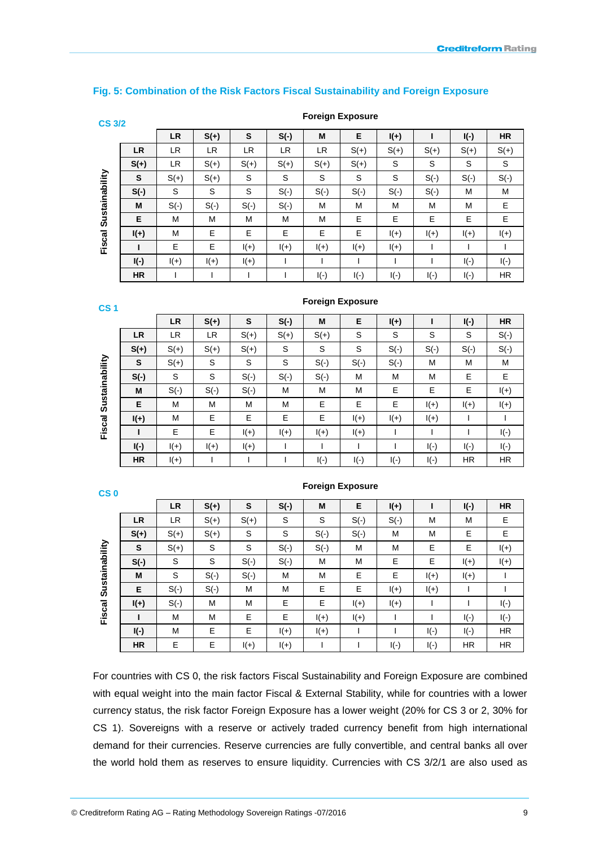#### **Fig. 5: Combination of the Risk Factors Fiscal Sustainability and Foreign Exposure**

| ٧      |         |  |
|--------|---------|--|
| ٠<br>٧ | ٠.<br>× |  |

| אנט סט         |           |           |        |            |           |            |             |        |        |        |            |
|----------------|-----------|-----------|--------|------------|-----------|------------|-------------|--------|--------|--------|------------|
|                |           | <b>LR</b> | $S(+)$ | S          | $S(-)$    | M          | E           | $I(+)$ |        | $I(-)$ | <b>HR</b>  |
|                | <b>LR</b> | LR.       | LR     | <b>LR</b>  | <b>LR</b> | LR.        | $S(+)$      | $S(+)$ | $S(+)$ | $S(+)$ | $S(+)$     |
|                | $S(+)$    | LR.       | $S(+)$ | $S(+)$     | $S(+)$    | $S(+)$     | $S(+)$      | S      | S      | S      | S          |
| Sustainability | S         | $S(+)$    | $S(+)$ | S          | S         | S          | S           | S      | $S(-)$ | $S(-)$ | $S(\cdot)$ |
|                | $S(-)$    | S         | S      | S          | $S(-)$    | $S(-)$     | $S(-)$      | $S(-)$ | $S(-)$ | M      | M          |
|                | M         | $S(-)$    | $S(-)$ | $S(\cdot)$ | $S(-)$    | M          | M           | M      | M      | M      | E.         |
|                | E         | M         | M      | M          | M         | M          | Е           | E.     | Е      | E      | E          |
|                | $I(+)$    | M         | Е      | E          | E         | E          | E           | $I(+)$ | $I(+)$ | $I(+)$ | $I(+)$     |
| Fiscal         | ı         | E         | E      | $I(+)$     | $I(+)$    | $I(+)$     | $I(+)$      | $I(+)$ |        |        |            |
|                | $I(-)$    | $I(+)$    | $I(+)$ | $I(+)$     |           |            |             |        |        | $I(-)$ | $I(-)$     |
|                | <b>HR</b> |           |        |            |           | $I(\cdot)$ | $ (\cdot) $ | $I(-)$ | $I(-)$ | $I(-)$ | <b>HR</b>  |

**Foreign Exposure**

**Foreign Exposure**

| ٠              | ٧ |
|----------------|---|
| . .<br>__<br>- |   |
|                |   |

|                |           | <b>LR</b> | $S(+)$ | S      | $S(-)$ | M          | Е      | $I(+)$ |                     | $I(-)$    | <b>HR</b>  |
|----------------|-----------|-----------|--------|--------|--------|------------|--------|--------|---------------------|-----------|------------|
|                | <b>LR</b> | LR        | LR     | $S(+)$ | $S(+)$ | $S(+)$     | S      | S      | S                   | S         | $S(\cdot)$ |
|                | $S(+)$    | $S(+)$    | $S(+)$ | $S(+)$ | S      | S          | S      | $S(-)$ | $S(-)$              | $S(-)$    | $S(\cdot)$ |
| Sustainability | S         | $S(+)$    | S      | S      | S      | $S(-)$     | $S(-)$ | $S(-)$ | M                   | М         | M          |
|                | $S(-)$    | S         | S      | $S(-)$ | $S(-)$ | $S(-)$     | M      | M      | M                   | Е         | Е          |
|                | M         | $S(-)$    | $S(-)$ | $S(-)$ | M      | М          | M      | Е      | Е                   | Е         | $I(+)$     |
|                | Е         | M         | M      | M      | M      | Е          | E      | Е      | $I(+)$              | $I(+)$    | $I(+)$     |
|                | $I(+)$    | M         | Е      | Е      | E      | Е          | $I(+)$ | $I(+)$ | $I(+)$              |           |            |
| Fiscal         |           | E         | E.     | $I(+)$ | $I(+)$ | $I(+)$     | $I(+)$ |        |                     |           | $I(-)$     |
|                | $I(-)$    | $I(+)$    | $I(+)$ | $I(+)$ |        |            |        |        | $I(-)$              | $I(-)$    | $I(-)$     |
|                | HR        | $I(+)$    |        |        |        | $I(\cdot)$ | $I(-)$ | $I(-)$ | $\mathsf{I}(\cdot)$ | <b>HR</b> | HR.        |

| ٠<br>. . | I      |
|----------|--------|
|          |        |
| . .      |        |
| __       | $\sim$ |

|                |           | <b>LR</b> | $S(+)$ | S      | $S(-)$ | M      | Е      | $I(+)$ |        | $I(-)$    | <b>HR</b>  |
|----------------|-----------|-----------|--------|--------|--------|--------|--------|--------|--------|-----------|------------|
|                | <b>LR</b> | LR        | $S(+)$ | $S(+)$ | S      | S      | $S(-)$ | $S(-)$ | M      | М         | E          |
|                | $S(+)$    | $S(+)$    | $S(+)$ | S      | S      | $S(-)$ | $S(-)$ | M      | M      | Е         | Е          |
|                | S         | $S(+)$    | S      | S      | $S(-)$ | $S(-)$ | M      | M      | Е      | Е         | $I(+)$     |
|                | $S(-)$    | S         | S      | $S(-)$ | $S(-)$ | М      | M      | Е      | Е      | $I(+)$    | $I(+)$     |
| Sustainability | M         | S         | $S(-)$ | $S(-)$ | М      | M      | Е      | Е      | $I(+)$ | $I(+)$    |            |
|                | E         | $S(-)$    | $S(-)$ | М      | M      | Е      | Е      | $I(+)$ | $I(+)$ |           |            |
|                | $I(+)$    | $S(-)$    | M      | м      | Е      | Е      | $I(+)$ | $I(+)$ |        |           | $I(-)$     |
| Fiscal         |           | M         | M      | Е      | E      | $I(+)$ | $I(+)$ |        |        | $I(-)$    | $I(\cdot)$ |
|                | $I(-)$    | M         | E      | E      | $I(+)$ | $I(+)$ |        |        | $I(-)$ | $I(-)$    | <b>HR</b>  |
|                | <b>HR</b> | E         | E      | $I(+)$ | $I(+)$ |        |        | $I(-)$ | $I(-)$ | <b>HR</b> | HR.        |

# For countries with CS 0, the risk factors Fiscal Sustainability and Foreign Exposure are combined with equal weight into the main factor Fiscal & External Stability, while for countries with a lower currency status, the risk factor Foreign Exposure has a lower weight (20% for CS 3 or 2, 30% for CS 1). Sovereigns with a reserve or actively traded currency benefit from high international demand for their currencies. Reserve currencies are fully convertible, and central banks all over the world hold them as reserves to ensure liquidity. Currencies with CS 3/2/1 are also used as

#### **Foreign Exposure**

© Creditreform Rating AG – Rating Methodology Sovereign Ratings -07/2016 9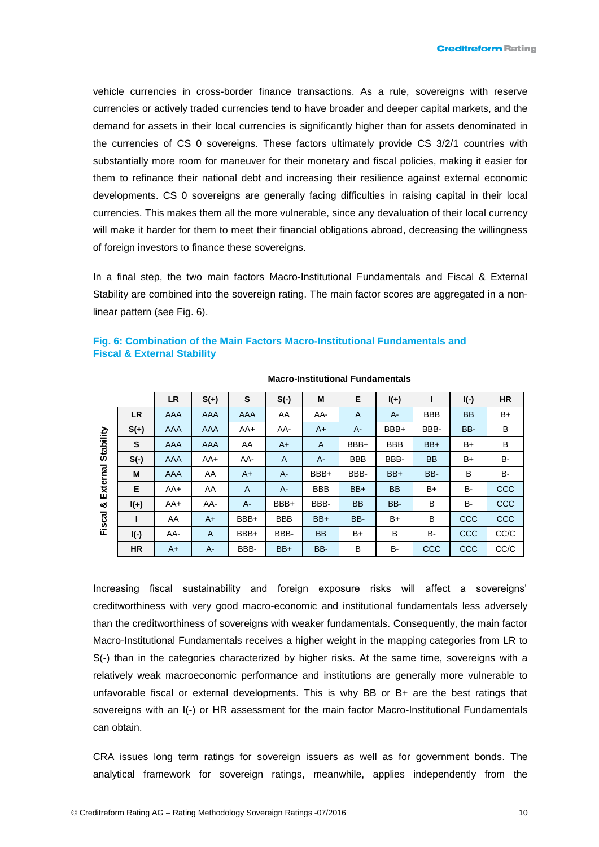vehicle currencies in cross-border finance transactions. As a rule, sovereigns with reserve currencies or actively traded currencies tend to have broader and deeper capital markets, and the demand for assets in their local currencies is significantly higher than for assets denominated in the currencies of CS 0 sovereigns. These factors ultimately provide CS 3/2/1 countries with substantially more room for maneuver for their monetary and fiscal policies, making it easier for them to refinance their national debt and increasing their resilience against external economic developments. CS 0 sovereigns are generally facing difficulties in raising capital in their local currencies. This makes them all the more vulnerable, since any devaluation of their local currency will make it harder for them to meet their financial obligations abroad, decreasing the willingness of foreign investors to finance these sovereigns.

In a final step, the two main factors Macro-Institutional Fundamentals and Fiscal & External Stability are combined into the sovereign rating. The main factor scores are aggregated in a nonlinear pattern (see Fig. 6).

|           |           |            | <b>Macro-Institutional Fundamentals</b> |       |            |            |            |            |            |           |            |  |
|-----------|-----------|------------|-----------------------------------------|-------|------------|------------|------------|------------|------------|-----------|------------|--|
|           |           | <b>LR</b>  | $S(+)$                                  | S     | $S(-)$     | M          | Е          | $I(+)$     |            | $I(-)$    | <b>HR</b>  |  |
|           | <b>LR</b> | <b>AAA</b> | AAA                                     | AAA   | AA         | AA-        | A          | $A-$       | <b>BBB</b> | <b>BB</b> | $B+$       |  |
|           | $S(+)$    | AAA        | AAA                                     | $AA+$ | AA-        | $A+$       | $A -$      | BBB+       | BBB-       | BB-       | B          |  |
| Stability | S         | AAA        | AAA                                     | AA    | $A+$       | A          | BBB+       | <b>BBB</b> | $BB+$      | B+        | B          |  |
|           | $S(-)$    | <b>AAA</b> | $AA+$                                   | AA-   | A          | $A -$      | <b>BBB</b> | BBB-       | <b>BB</b>  | B+        | B-         |  |
| External  | M         | AAA        | AA                                      | $A+$  | $A -$      | BBB+       | BBB-       | BB+        | BB-        | B         | B-         |  |
|           | Е         | $AA+$      | AA                                      | A     | $A -$      | <b>BBB</b> | $BB+$      | <b>BB</b>  | B+         | <b>B-</b> | <b>CCC</b> |  |
| య         | $I(+)$    | AA+        | AA-                                     | $A-$  | BBB+       | BBB-       | <b>BB</b>  | BB-        | B          | в-        | <b>CCC</b> |  |
| Fiscal    |           | AA         | $A+$                                    | BBB+  | <b>BBB</b> | $BB+$      | BB-        | $B+$       | В          | CCC       | <b>CCC</b> |  |
|           | $I(-)$    | AA-        | A                                       | BBB+  | BBB-       | <b>BB</b>  | B+         | В          | B-         | CCC       | CC/C       |  |

**Fig. 6: Combination of the Main Factors Macro-Institutional Fundamentals and Fiscal & External Stability**

Increasing fiscal sustainability and foreign exposure risks will affect a sovereigns' creditworthiness with very good macro-economic and institutional fundamentals less adversely than the creditworthiness of sovereigns with weaker fundamentals. Consequently, the main factor Macro-Institutional Fundamentals receives a higher weight in the mapping categories from LR to S(-) than in the categories characterized by higher risks. At the same time, sovereigns with a relatively weak macroeconomic performance and institutions are generally more vulnerable to unfavorable fiscal or external developments. This is why BB or B+ are the best ratings that sovereigns with an I(-) or HR assessment for the main factor Macro-Institutional Fundamentals can obtain.

**HR** A+ A- BBB- BB+ BB- B B- CCC CCC CC/C

CRA issues long term ratings for sovereign issuers as well as for government bonds. The analytical framework for sovereign ratings, meanwhile, applies independently from the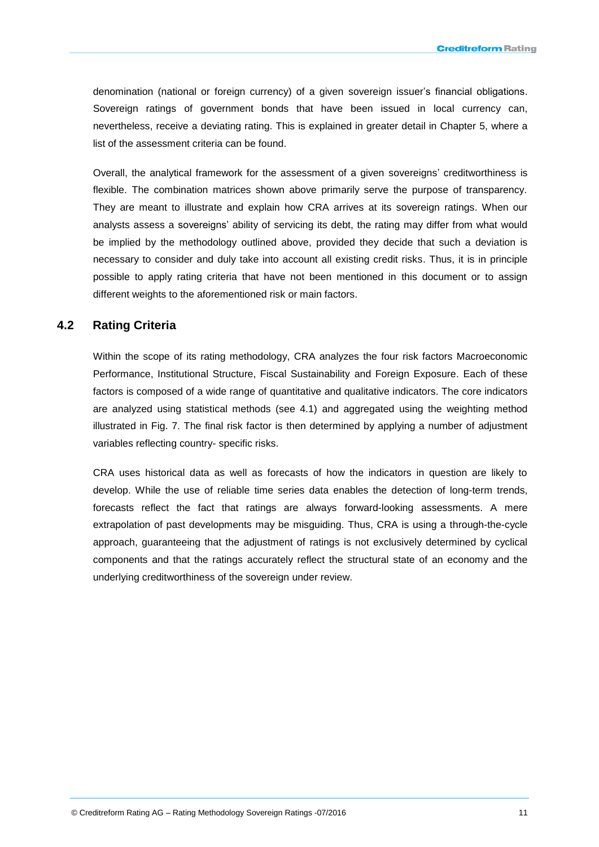denomination (national or foreign currency) of a given sovereign issuer's financial obligations. Sovereign ratings of government bonds that have been issued in local currency can, nevertheless, receive a deviating rating. This is explained in greater detail in Chapter 5, where a list of the assessment criteria can be found.

Overall, the analytical framework for the assessment of a given sovereigns' creditworthiness is flexible. The combination matrices shown above primarily serve the purpose of transparency. They are meant to illustrate and explain how CRA arrives at its sovereign ratings. When our analysts assess a sovereigns' ability of servicing its debt, the rating may differ from what would be implied by the methodology outlined above, provided they decide that such a deviation is necessary to consider and duly take into account all existing credit risks. Thus, it is in principle possible to apply rating criteria that have not been mentioned in this document or to assign different weights to the aforementioned risk or main factors.

### <span id="page-11-0"></span>**4.2 Rating Criteria**

Within the scope of its rating methodology, CRA analyzes the four risk factors Macroeconomic Performance, Institutional Structure, Fiscal Sustainability and Foreign Exposure. Each of these factors is composed of a wide range of quantitative and qualitative indicators. The core indicators are analyzed using statistical methods (see 4.1) and aggregated using the weighting method illustrated in Fig. 7. The final risk factor is then determined by applying a number of adjustment variables reflecting country- specific risks.

CRA uses historical data as well as forecasts of how the indicators in question are likely to develop. While the use of reliable time series data enables the detection of long-term trends, forecasts reflect the fact that ratings are always forward-looking assessments. A mere extrapolation of past developments may be misguiding. Thus, CRA is using a through-the-cycle approach, guaranteeing that the adjustment of ratings is not exclusively determined by cyclical components and that the ratings accurately reflect the structural state of an economy and the underlying creditworthiness of the sovereign under review.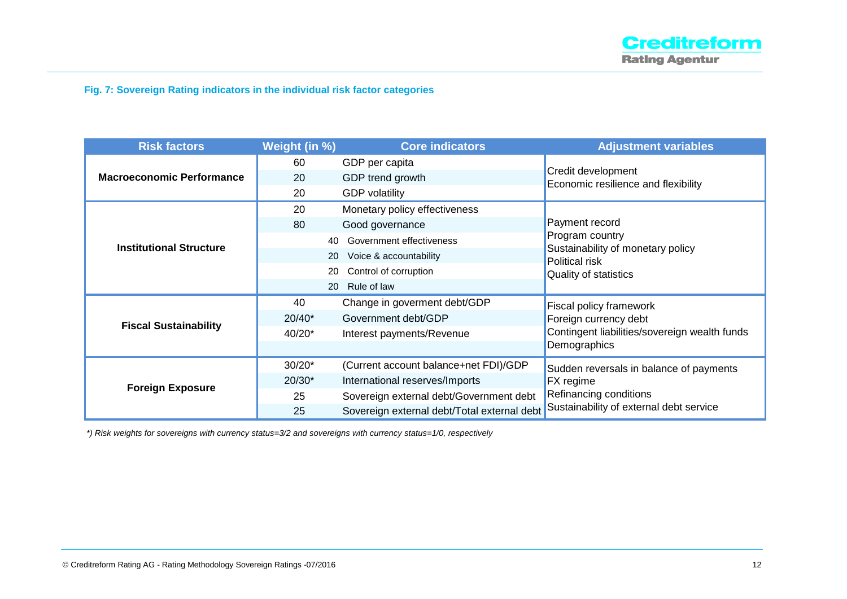### **Fig. 7: Sovereign Rating indicators in the individual risk factor categories**

| <b>Risk factors</b>              | Weight (in %) | <b>Core indicators</b>                      | <b>Adjustment variables</b>                               |  |
|----------------------------------|---------------|---------------------------------------------|-----------------------------------------------------------|--|
|                                  | 60            | GDP per capita                              |                                                           |  |
| <b>Macroeconomic Performance</b> | 20            | GDP trend growth                            | Credit development<br>Economic resilience and flexibility |  |
|                                  | 20            | <b>GDP</b> volatility                       |                                                           |  |
|                                  | 20            | Monetary policy effectiveness               |                                                           |  |
|                                  | 80            | Good governance                             | Payment record                                            |  |
| <b>Institutional Structure</b>   | 40            | Government effectiveness                    | Program country                                           |  |
|                                  | <b>20</b>     | Voice & accountability                      | Sustainability of monetary policy<br>Political risk       |  |
|                                  | 20            | Control of corruption                       | Quality of statistics                                     |  |
|                                  | 20            | Rule of law                                 |                                                           |  |
|                                  | 40            | Change in goverment debt/GDP                | <b>Fiscal policy framework</b>                            |  |
| <b>Fiscal Sustainability</b>     | $20/40*$      | Government debt/GDP                         | Foreign currency debt                                     |  |
|                                  | 40/20*        | Interest payments/Revenue                   | Contingent liabilities/sovereign wealth funds             |  |
|                                  |               |                                             | Demographics                                              |  |
|                                  | $30/20*$      | (Current account balance+net FDI)/GDP       | Sudden reversals in balance of payments                   |  |
|                                  | $20/30*$      | International reserves/Imports              | <b>FX</b> regime                                          |  |
| <b>Foreign Exposure</b>          | 25            | Sovereign external debt/Government debt     | Refinancing conditions                                    |  |
|                                  | 25            | Sovereign external debt/Total external debt | Sustainability of external debt service                   |  |

*\*) Risk weights for sovereigns with currency status=3/2 and sovereigns with currency status=1/0, respectively*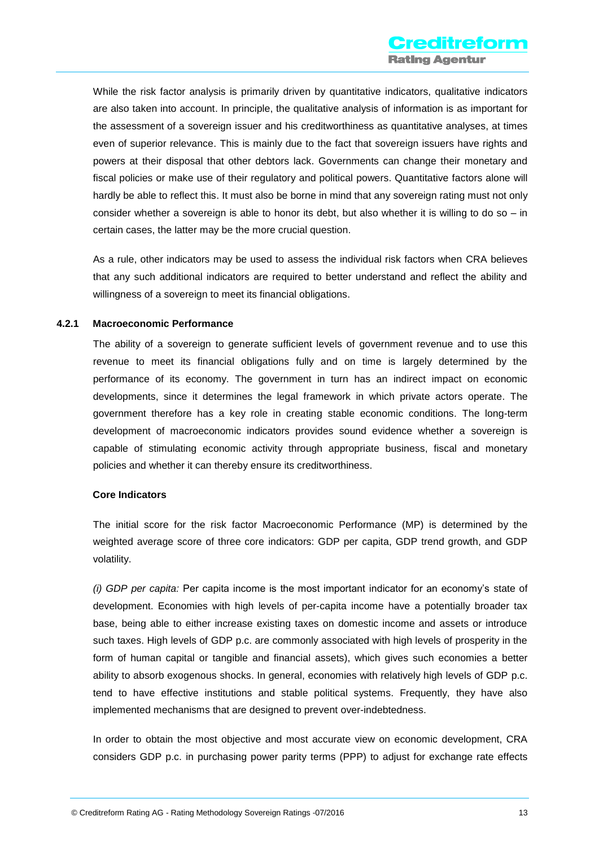While the risk factor analysis is primarily driven by quantitative indicators, qualitative indicators are also taken into account. In principle, the qualitative analysis of information is as important for the assessment of a sovereign issuer and his creditworthiness as quantitative analyses, at times even of superior relevance. This is mainly due to the fact that sovereign issuers have rights and powers at their disposal that other debtors lack. Governments can change their monetary and fiscal policies or make use of their regulatory and political powers. Quantitative factors alone will hardly be able to reflect this. It must also be borne in mind that any sovereign rating must not only consider whether a sovereign is able to honor its debt, but also whether it is willing to do so – in certain cases, the latter may be the more crucial question.

As a rule, other indicators may be used to assess the individual risk factors when CRA believes that any such additional indicators are required to better understand and reflect the ability and willingness of a sovereign to meet its financial obligations.

#### **4.2.1 Macroeconomic Performance**

The ability of a sovereign to generate sufficient levels of government revenue and to use this revenue to meet its financial obligations fully and on time is largely determined by the performance of its economy. The government in turn has an indirect impact on economic developments, since it determines the legal framework in which private actors operate. The government therefore has a key role in creating stable economic conditions. The long-term development of macroeconomic indicators provides sound evidence whether a sovereign is capable of stimulating economic activity through appropriate business, fiscal and monetary policies and whether it can thereby ensure its creditworthiness.

#### **Core Indicators**

The initial score for the risk factor Macroeconomic Performance (MP) is determined by the weighted average score of three core indicators: GDP per capita, GDP trend growth, and GDP volatility.

*(i) GDP per capita:* Per capita income is the most important indicator for an economy's state of development. Economies with high levels of per-capita income have a potentially broader tax base, being able to either increase existing taxes on domestic income and assets or introduce such taxes. High levels of GDP p.c. are commonly associated with high levels of prosperity in the form of human capital or tangible and financial assets), which gives such economies a better ability to absorb exogenous shocks. In general, economies with relatively high levels of GDP p.c. tend to have effective institutions and stable political systems. Frequently, they have also implemented mechanisms that are designed to prevent over-indebtedness.

In order to obtain the most objective and most accurate view on economic development, CRA considers GDP p.c. in purchasing power parity terms (PPP) to adjust for exchange rate effects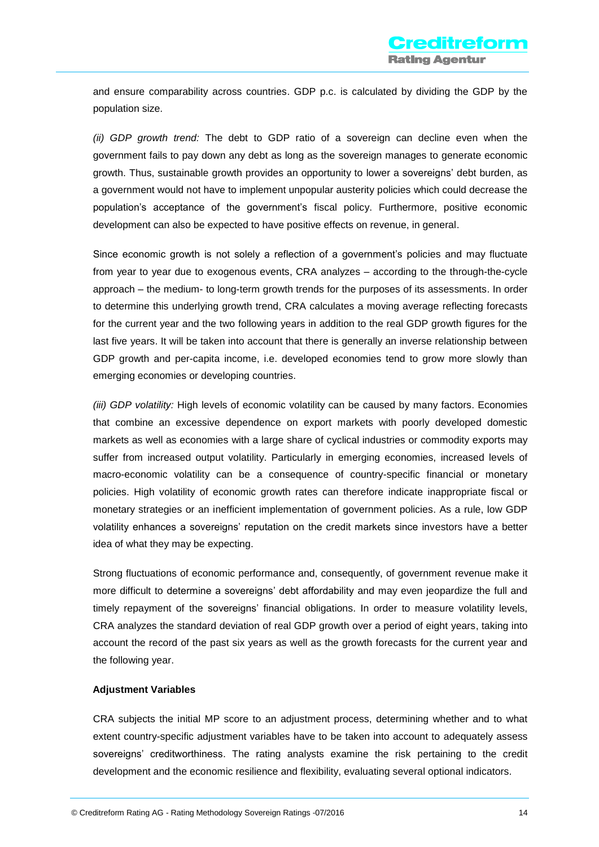and ensure comparability across countries. GDP p.c. is calculated by dividing the GDP by the population size.

*(ii) GDP growth trend:* The debt to GDP ratio of a sovereign can decline even when the government fails to pay down any debt as long as the sovereign manages to generate economic growth. Thus, sustainable growth provides an opportunity to lower a sovereigns' debt burden, as a government would not have to implement unpopular austerity policies which could decrease the population's acceptance of the government's fiscal policy. Furthermore, positive economic development can also be expected to have positive effects on revenue, in general.

Since economic growth is not solely a reflection of a government's policies and may fluctuate from year to year due to exogenous events, CRA analyzes – according to the through-the-cycle approach – the medium- to long-term growth trends for the purposes of its assessments. In order to determine this underlying growth trend, CRA calculates a moving average reflecting forecasts for the current year and the two following years in addition to the real GDP growth figures for the last five years. It will be taken into account that there is generally an inverse relationship between GDP growth and per-capita income, i.e. developed economies tend to grow more slowly than emerging economies or developing countries.

*(iii) GDP volatility:* High levels of economic volatility can be caused by many factors. Economies that combine an excessive dependence on export markets with poorly developed domestic markets as well as economies with a large share of cyclical industries or commodity exports may suffer from increased output volatility. Particularly in emerging economies, increased levels of macro-economic volatility can be a consequence of country-specific financial or monetary policies. High volatility of economic growth rates can therefore indicate inappropriate fiscal or monetary strategies or an inefficient implementation of government policies. As a rule, low GDP volatility enhances a sovereigns' reputation on the credit markets since investors have a better idea of what they may be expecting.

Strong fluctuations of economic performance and, consequently, of government revenue make it more difficult to determine a sovereigns' debt affordability and may even jeopardize the full and timely repayment of the sovereigns' financial obligations. In order to measure volatility levels, CRA analyzes the standard deviation of real GDP growth over a period of eight years, taking into account the record of the past six years as well as the growth forecasts for the current year and the following year.

#### **Adjustment Variables**

CRA subjects the initial MP score to an adjustment process, determining whether and to what extent country-specific adjustment variables have to be taken into account to adequately assess sovereigns' creditworthiness. The rating analysts examine the risk pertaining to the credit development and the economic resilience and flexibility, evaluating several optional indicators.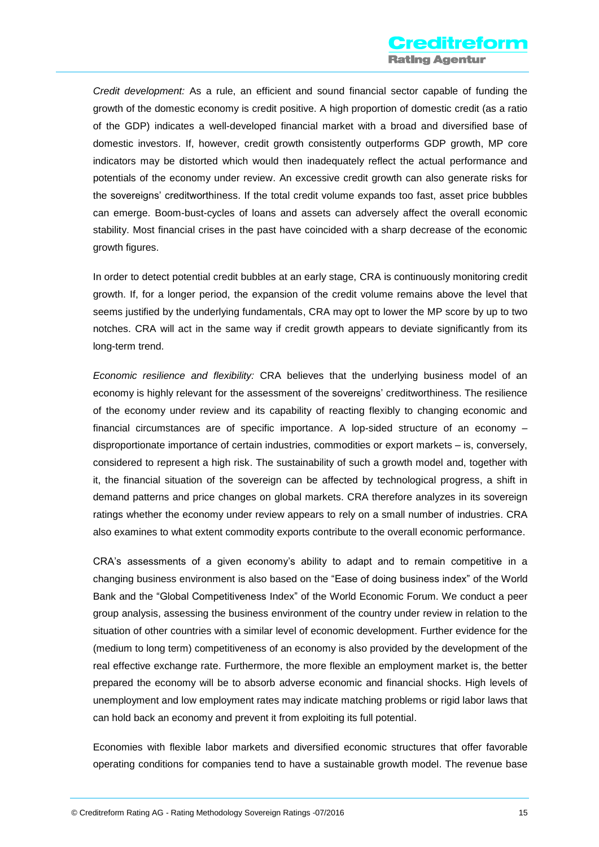*Credit development:* As a rule, an efficient and sound financial sector capable of funding the growth of the domestic economy is credit positive. A high proportion of domestic credit (as a ratio of the GDP) indicates a well-developed financial market with a broad and diversified base of domestic investors. If, however, credit growth consistently outperforms GDP growth, MP core indicators may be distorted which would then inadequately reflect the actual performance and potentials of the economy under review. An excessive credit growth can also generate risks for the sovereigns' creditworthiness. If the total credit volume expands too fast, asset price bubbles can emerge. Boom-bust-cycles of loans and assets can adversely affect the overall economic stability. Most financial crises in the past have coincided with a sharp decrease of the economic growth figures.

In order to detect potential credit bubbles at an early stage, CRA is continuously monitoring credit growth. If, for a longer period, the expansion of the credit volume remains above the level that seems justified by the underlying fundamentals, CRA may opt to lower the MP score by up to two notches. CRA will act in the same way if credit growth appears to deviate significantly from its long-term trend.

*Economic resilience and flexibility:* CRA believes that the underlying business model of an economy is highly relevant for the assessment of the sovereigns' creditworthiness. The resilience of the economy under review and its capability of reacting flexibly to changing economic and financial circumstances are of specific importance. A lop-sided structure of an economy – disproportionate importance of certain industries, commodities or export markets – is, conversely, considered to represent a high risk. The sustainability of such a growth model and, together with it, the financial situation of the sovereign can be affected by technological progress, a shift in demand patterns and price changes on global markets. CRA therefore analyzes in its sovereign ratings whether the economy under review appears to rely on a small number of industries. CRA also examines to what extent commodity exports contribute to the overall economic performance.

CRA's assessments of a given economy's ability to adapt and to remain competitive in a changing business environment is also based on the "Ease of doing business index" of the World Bank and the "Global Competitiveness Index" of the World Economic Forum. We conduct a peer group analysis, assessing the business environment of the country under review in relation to the situation of other countries with a similar level of economic development. Further evidence for the (medium to long term) competitiveness of an economy is also provided by the development of the real effective exchange rate. Furthermore, the more flexible an employment market is, the better prepared the economy will be to absorb adverse economic and financial shocks. High levels of unemployment and low employment rates may indicate matching problems or rigid labor laws that can hold back an economy and prevent it from exploiting its full potential.

Economies with flexible labor markets and diversified economic structures that offer favorable operating conditions for companies tend to have a sustainable growth model. The revenue base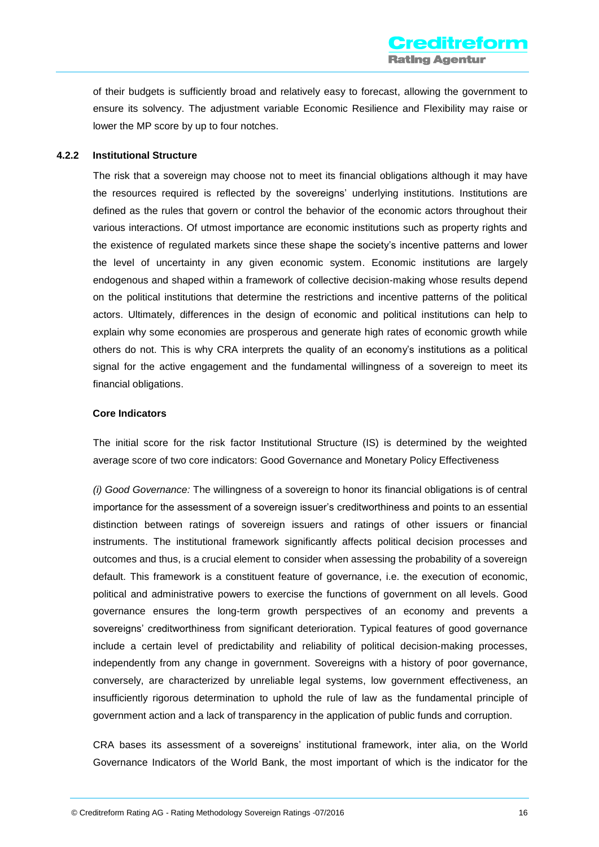of their budgets is sufficiently broad and relatively easy to forecast, allowing the government to ensure its solvency. The adjustment variable Economic Resilience and Flexibility may raise or lower the MP score by up to four notches.

#### **4.2.2 Institutional Structure**

The risk that a sovereign may choose not to meet its financial obligations although it may have the resources required is reflected by the sovereigns' underlying institutions. Institutions are defined as the rules that govern or control the behavior of the economic actors throughout their various interactions. Of utmost importance are economic institutions such as property rights and the existence of regulated markets since these shape the society's incentive patterns and lower the level of uncertainty in any given economic system. Economic institutions are largely endogenous and shaped within a framework of collective decision-making whose results depend on the political institutions that determine the restrictions and incentive patterns of the political actors. Ultimately, differences in the design of economic and political institutions can help to explain why some economies are prosperous and generate high rates of economic growth while others do not. This is why CRA interprets the quality of an economy's institutions as a political signal for the active engagement and the fundamental willingness of a sovereign to meet its financial obligations.

#### **Core Indicators**

The initial score for the risk factor Institutional Structure (IS) is determined by the weighted average score of two core indicators: Good Governance and Monetary Policy Effectiveness

*(i) Good Governance:* The willingness of a sovereign to honor its financial obligations is of central importance for the assessment of a sovereign issuer's creditworthiness and points to an essential distinction between ratings of sovereign issuers and ratings of other issuers or financial instruments. The institutional framework significantly affects political decision processes and outcomes and thus, is a crucial element to consider when assessing the probability of a sovereign default. This framework is a constituent feature of governance, i.e. the execution of economic, political and administrative powers to exercise the functions of government on all levels. Good governance ensures the long-term growth perspectives of an economy and prevents a sovereigns' creditworthiness from significant deterioration. Typical features of good governance include a certain level of predictability and reliability of political decision-making processes, independently from any change in government. Sovereigns with a history of poor governance, conversely, are characterized by unreliable legal systems, low government effectiveness, an insufficiently rigorous determination to uphold the rule of law as the fundamental principle of government action and a lack of transparency in the application of public funds and corruption.

CRA bases its assessment of a sovereigns' institutional framework, inter alia, on the World Governance Indicators of the World Bank, the most important of which is the indicator for the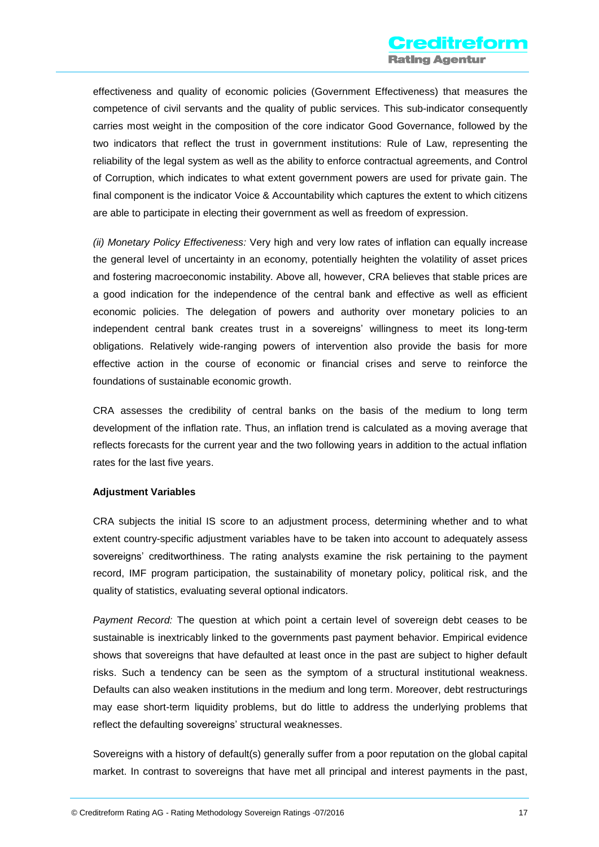effectiveness and quality of economic policies (Government Effectiveness) that measures the competence of civil servants and the quality of public services. This sub-indicator consequently carries most weight in the composition of the core indicator Good Governance, followed by the two indicators that reflect the trust in government institutions: Rule of Law, representing the reliability of the legal system as well as the ability to enforce contractual agreements, and Control of Corruption, which indicates to what extent government powers are used for private gain. The final component is the indicator Voice & Accountability which captures the extent to which citizens are able to participate in electing their government as well as freedom of expression.

*(ii) Monetary Policy Effectiveness:* Very high and very low rates of inflation can equally increase the general level of uncertainty in an economy, potentially heighten the volatility of asset prices and fostering macroeconomic instability. Above all, however, CRA believes that stable prices are a good indication for the independence of the central bank and effective as well as efficient economic policies. The delegation of powers and authority over monetary policies to an independent central bank creates trust in a sovereigns' willingness to meet its long-term obligations. Relatively wide-ranging powers of intervention also provide the basis for more effective action in the course of economic or financial crises and serve to reinforce the foundations of sustainable economic growth.

CRA assesses the credibility of central banks on the basis of the medium to long term development of the inflation rate. Thus, an inflation trend is calculated as a moving average that reflects forecasts for the current year and the two following years in addition to the actual inflation rates for the last five years.

#### **Adjustment Variables**

CRA subjects the initial IS score to an adjustment process, determining whether and to what extent country-specific adjustment variables have to be taken into account to adequately assess sovereigns' creditworthiness. The rating analysts examine the risk pertaining to the payment record, IMF program participation, the sustainability of monetary policy, political risk, and the quality of statistics, evaluating several optional indicators.

*Payment Record:* The question at which point a certain level of sovereign debt ceases to be sustainable is inextricably linked to the governments past payment behavior. Empirical evidence shows that sovereigns that have defaulted at least once in the past are subject to higher default risks. Such a tendency can be seen as the symptom of a structural institutional weakness. Defaults can also weaken institutions in the medium and long term. Moreover, debt restructurings may ease short-term liquidity problems, but do little to address the underlying problems that reflect the defaulting sovereigns' structural weaknesses.

Sovereigns with a history of default(s) generally suffer from a poor reputation on the global capital market. In contrast to sovereigns that have met all principal and interest payments in the past,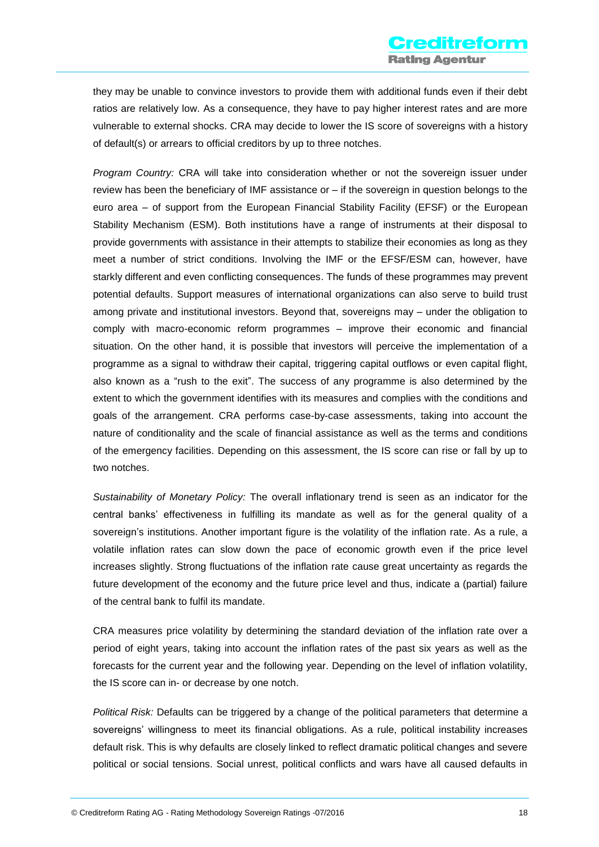they may be unable to convince investors to provide them with additional funds even if their debt ratios are relatively low. As a consequence, they have to pay higher interest rates and are more vulnerable to external shocks. CRA may decide to lower the IS score of sovereigns with a history of default(s) or arrears to official creditors by up to three notches.

*Program Country:* CRA will take into consideration whether or not the sovereign issuer under review has been the beneficiary of IMF assistance or – if the sovereign in question belongs to the euro area – of support from the European Financial Stability Facility (EFSF) or the European Stability Mechanism (ESM). Both institutions have a range of instruments at their disposal to provide governments with assistance in their attempts to stabilize their economies as long as they meet a number of strict conditions. Involving the IMF or the EFSF/ESM can, however, have starkly different and even conflicting consequences. The funds of these programmes may prevent potential defaults. Support measures of international organizations can also serve to build trust among private and institutional investors. Beyond that, sovereigns may – under the obligation to comply with macro-economic reform programmes – improve their economic and financial situation. On the other hand, it is possible that investors will perceive the implementation of a programme as a signal to withdraw their capital, triggering capital outflows or even capital flight, also known as a "rush to the exit". The success of any programme is also determined by the extent to which the government identifies with its measures and complies with the conditions and goals of the arrangement. CRA performs case-by-case assessments, taking into account the nature of conditionality and the scale of financial assistance as well as the terms and conditions of the emergency facilities. Depending on this assessment, the IS score can rise or fall by up to two notches.

*Sustainability of Monetary Policy:* The overall inflationary trend is seen as an indicator for the central banks' effectiveness in fulfilling its mandate as well as for the general quality of a sovereign's institutions. Another important figure is the volatility of the inflation rate. As a rule, a volatile inflation rates can slow down the pace of economic growth even if the price level increases slightly. Strong fluctuations of the inflation rate cause great uncertainty as regards the future development of the economy and the future price level and thus, indicate a (partial) failure of the central bank to fulfil its mandate.

CRA measures price volatility by determining the standard deviation of the inflation rate over a period of eight years, taking into account the inflation rates of the past six years as well as the forecasts for the current year and the following year. Depending on the level of inflation volatility, the IS score can in- or decrease by one notch.

*Political Risk:* Defaults can be triggered by a change of the political parameters that determine a sovereigns' willingness to meet its financial obligations. As a rule, political instability increases default risk. This is why defaults are closely linked to reflect dramatic political changes and severe political or social tensions. Social unrest, political conflicts and wars have all caused defaults in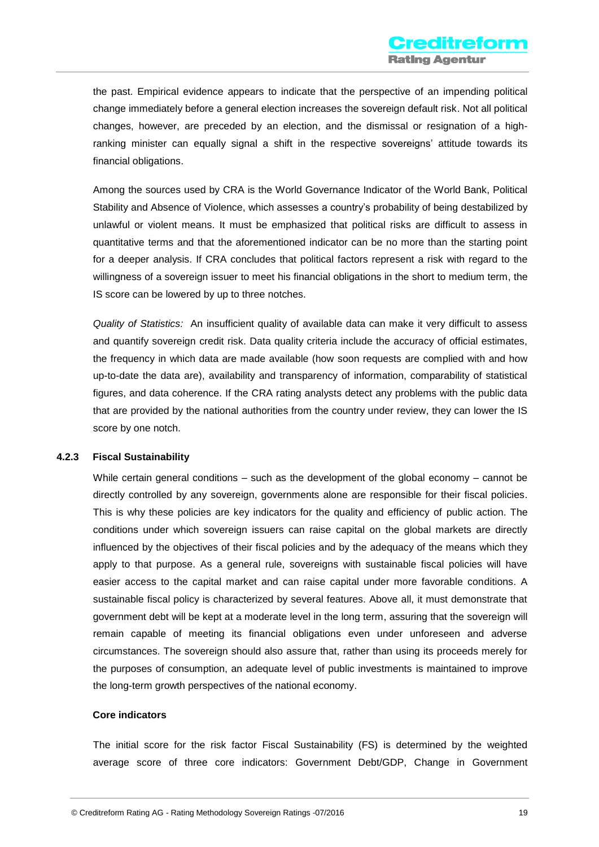the past. Empirical evidence appears to indicate that the perspective of an impending political change immediately before a general election increases the sovereign default risk. Not all political changes, however, are preceded by an election, and the dismissal or resignation of a highranking minister can equally signal a shift in the respective sovereigns' attitude towards its financial obligations.

Among the sources used by CRA is the World Governance Indicator of the World Bank, Political Stability and Absence of Violence, which assesses a country's probability of being destabilized by unlawful or violent means. It must be emphasized that political risks are difficult to assess in quantitative terms and that the aforementioned indicator can be no more than the starting point for a deeper analysis. If CRA concludes that political factors represent a risk with regard to the willingness of a sovereign issuer to meet his financial obligations in the short to medium term, the IS score can be lowered by up to three notches.

*Quality of Statistics:* An insufficient quality of available data can make it very difficult to assess and quantify sovereign credit risk. Data quality criteria include the accuracy of official estimates, the frequency in which data are made available (how soon requests are complied with and how up-to-date the data are), availability and transparency of information, comparability of statistical figures, and data coherence. If the CRA rating analysts detect any problems with the public data that are provided by the national authorities from the country under review, they can lower the IS score by one notch.

#### **4.2.3 Fiscal Sustainability**

While certain general conditions – such as the development of the global economy – cannot be directly controlled by any sovereign, governments alone are responsible for their fiscal policies. This is why these policies are key indicators for the quality and efficiency of public action. The conditions under which sovereign issuers can raise capital on the global markets are directly influenced by the objectives of their fiscal policies and by the adequacy of the means which they apply to that purpose. As a general rule, sovereigns with sustainable fiscal policies will have easier access to the capital market and can raise capital under more favorable conditions. A sustainable fiscal policy is characterized by several features. Above all, it must demonstrate that government debt will be kept at a moderate level in the long term, assuring that the sovereign will remain capable of meeting its financial obligations even under unforeseen and adverse circumstances. The sovereign should also assure that, rather than using its proceeds merely for the purposes of consumption, an adequate level of public investments is maintained to improve the long-term growth perspectives of the national economy.

#### **Core indicators**

The initial score for the risk factor Fiscal Sustainability (FS) is determined by the weighted average score of three core indicators: Government Debt/GDP, Change in Government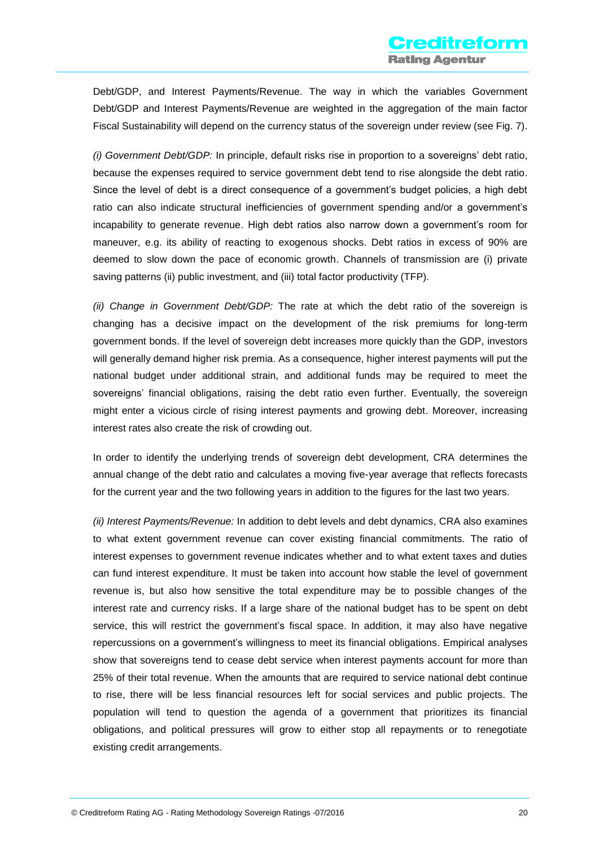Debt/GDP, and Interest Payments/Revenue. The way in which the variables Government Debt/GDP and Interest Payments/Revenue are weighted in the aggregation of the main factor Fiscal Sustainability will depend on the currency status of the sovereign under review (see Fig. 7).

*(i) Government Debt/GDP:* In principle, default risks rise in proportion to a sovereigns' debt ratio, because the expenses required to service government debt tend to rise alongside the debt ratio. Since the level of debt is a direct consequence of a government's budget policies, a high debt ratio can also indicate structural inefficiencies of government spending and/or a government's incapability to generate revenue. High debt ratios also narrow down a government's room for maneuver, e.g. its ability of reacting to exogenous shocks. Debt ratios in excess of 90% are deemed to slow down the pace of economic growth. Channels of transmission are (i) private saving patterns (ii) public investment, and (iii) total factor productivity (TFP).

*(ii) Change in Government Debt/GDP:* The rate at which the debt ratio of the sovereign is changing has a decisive impact on the development of the risk premiums for long-term government bonds. If the level of sovereign debt increases more quickly than the GDP, investors will generally demand higher risk premia. As a consequence, higher interest payments will put the national budget under additional strain, and additional funds may be required to meet the sovereigns' financial obligations, raising the debt ratio even further. Eventually, the sovereign might enter a vicious circle of rising interest payments and growing debt. Moreover, increasing interest rates also create the risk of crowding out.

In order to identify the underlying trends of sovereign debt development, CRA determines the annual change of the debt ratio and calculates a moving five-year average that reflects forecasts for the current year and the two following years in addition to the figures for the last two years.

*(ii) Interest Payments/Revenue:* In addition to debt levels and debt dynamics, CRA also examines to what extent government revenue can cover existing financial commitments. The ratio of interest expenses to government revenue indicates whether and to what extent taxes and duties can fund interest expenditure. It must be taken into account how stable the level of government revenue is, but also how sensitive the total expenditure may be to possible changes of the interest rate and currency risks. If a large share of the national budget has to be spent on debt service, this will restrict the government's fiscal space. In addition, it may also have negative repercussions on a government's willingness to meet its financial obligations. Empirical analyses show that sovereigns tend to cease debt service when interest payments account for more than 25% of their total revenue. When the amounts that are required to service national debt continue to rise, there will be less financial resources left for social services and public projects. The population will tend to question the agenda of a government that prioritizes its financial obligations, and political pressures will grow to either stop all repayments or to renegotiate existing credit arrangements.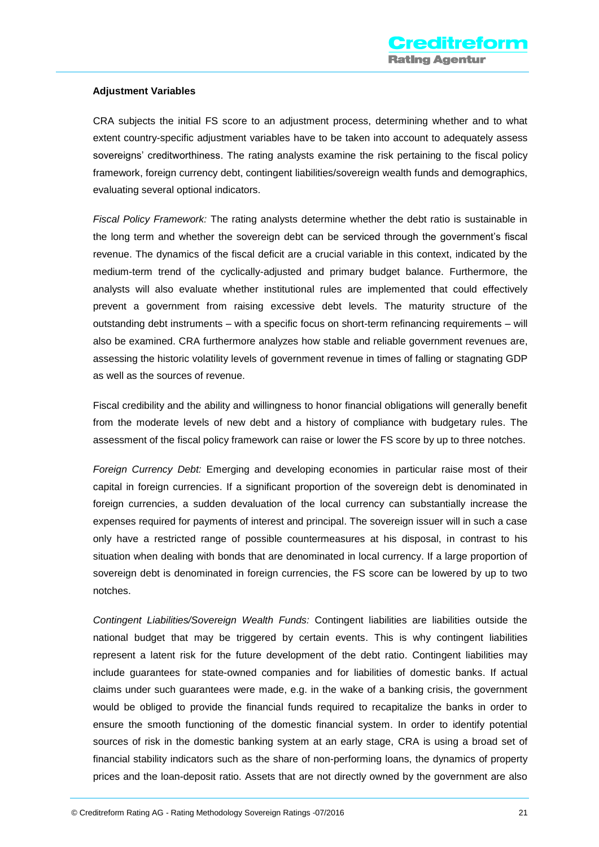#### **Adjustment Variables**

CRA subjects the initial FS score to an adjustment process, determining whether and to what extent country-specific adjustment variables have to be taken into account to adequately assess sovereigns' creditworthiness. The rating analysts examine the risk pertaining to the fiscal policy framework, foreign currency debt, contingent liabilities/sovereign wealth funds and demographics, evaluating several optional indicators.

*Fiscal Policy Framework:* The rating analysts determine whether the debt ratio is sustainable in the long term and whether the sovereign debt can be serviced through the government's fiscal revenue. The dynamics of the fiscal deficit are a crucial variable in this context, indicated by the medium-term trend of the cyclically-adjusted and primary budget balance. Furthermore, the analysts will also evaluate whether institutional rules are implemented that could effectively prevent a government from raising excessive debt levels. The maturity structure of the outstanding debt instruments – with a specific focus on short-term refinancing requirements – will also be examined. CRA furthermore analyzes how stable and reliable government revenues are, assessing the historic volatility levels of government revenue in times of falling or stagnating GDP as well as the sources of revenue.

Fiscal credibility and the ability and willingness to honor financial obligations will generally benefit from the moderate levels of new debt and a history of compliance with budgetary rules. The assessment of the fiscal policy framework can raise or lower the FS score by up to three notches.

*Foreign Currency Debt:* Emerging and developing economies in particular raise most of their capital in foreign currencies. If a significant proportion of the sovereign debt is denominated in foreign currencies, a sudden devaluation of the local currency can substantially increase the expenses required for payments of interest and principal. The sovereign issuer will in such a case only have a restricted range of possible countermeasures at his disposal, in contrast to his situation when dealing with bonds that are denominated in local currency. If a large proportion of sovereign debt is denominated in foreign currencies, the FS score can be lowered by up to two notches.

*Contingent Liabilities/Sovereign Wealth Funds:* Contingent liabilities are liabilities outside the national budget that may be triggered by certain events. This is why contingent liabilities represent a latent risk for the future development of the debt ratio. Contingent liabilities may include guarantees for state-owned companies and for liabilities of domestic banks. If actual claims under such guarantees were made, e.g. in the wake of a banking crisis, the government would be obliged to provide the financial funds required to recapitalize the banks in order to ensure the smooth functioning of the domestic financial system. In order to identify potential sources of risk in the domestic banking system at an early stage, CRA is using a broad set of financial stability indicators such as the share of non-performing loans, the dynamics of property prices and the loan-deposit ratio. Assets that are not directly owned by the government are also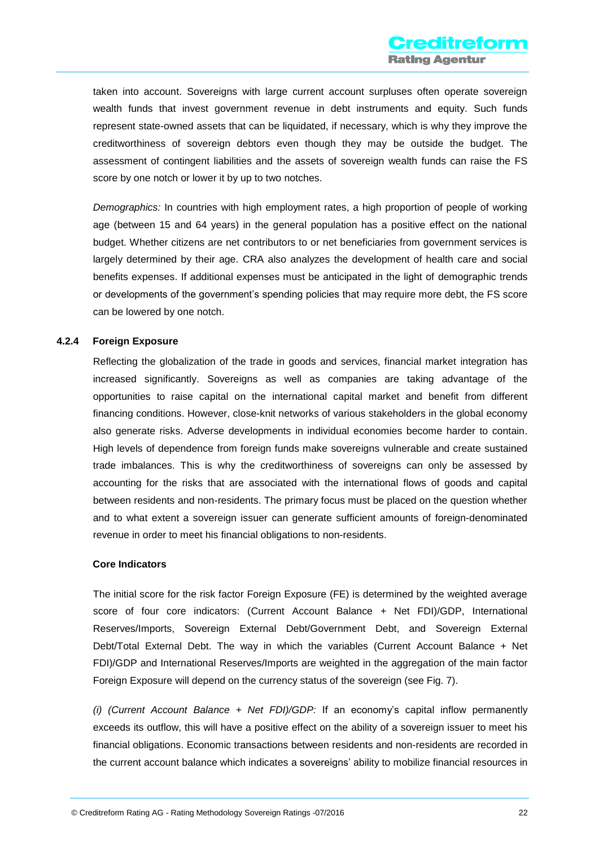taken into account. Sovereigns with large current account surpluses often operate sovereign wealth funds that invest government revenue in debt instruments and equity. Such funds represent state-owned assets that can be liquidated, if necessary, which is why they improve the creditworthiness of sovereign debtors even though they may be outside the budget. The assessment of contingent liabilities and the assets of sovereign wealth funds can raise the FS score by one notch or lower it by up to two notches.

*Demographics:* In countries with high employment rates, a high proportion of people of working age (between 15 and 64 years) in the general population has a positive effect on the national budget. Whether citizens are net contributors to or net beneficiaries from government services is largely determined by their age. CRA also analyzes the development of health care and social benefits expenses. If additional expenses must be anticipated in the light of demographic trends or developments of the government's spending policies that may require more debt, the FS score can be lowered by one notch.

#### **4.2.4 Foreign Exposure**

Reflecting the globalization of the trade in goods and services, financial market integration has increased significantly. Sovereigns as well as companies are taking advantage of the opportunities to raise capital on the international capital market and benefit from different financing conditions. However, close-knit networks of various stakeholders in the global economy also generate risks. Adverse developments in individual economies become harder to contain. High levels of dependence from foreign funds make sovereigns vulnerable and create sustained trade imbalances. This is why the creditworthiness of sovereigns can only be assessed by accounting for the risks that are associated with the international flows of goods and capital between residents and non-residents. The primary focus must be placed on the question whether and to what extent a sovereign issuer can generate sufficient amounts of foreign-denominated revenue in order to meet his financial obligations to non-residents.

#### **Core Indicators**

The initial score for the risk factor Foreign Exposure (FE) is determined by the weighted average score of four core indicators: (Current Account Balance + Net FDI)/GDP, International Reserves/Imports, Sovereign External Debt/Government Debt, and Sovereign External Debt/Total External Debt. The way in which the variables (Current Account Balance + Net FDI)/GDP and International Reserves/Imports are weighted in the aggregation of the main factor Foreign Exposure will depend on the currency status of the sovereign (see Fig. 7).

*(i) (Current Account Balance + Net FDI)/GDP:* If an economy's capital inflow permanently exceeds its outflow, this will have a positive effect on the ability of a sovereign issuer to meet his financial obligations. Economic transactions between residents and non-residents are recorded in the current account balance which indicates a sovereigns' ability to mobilize financial resources in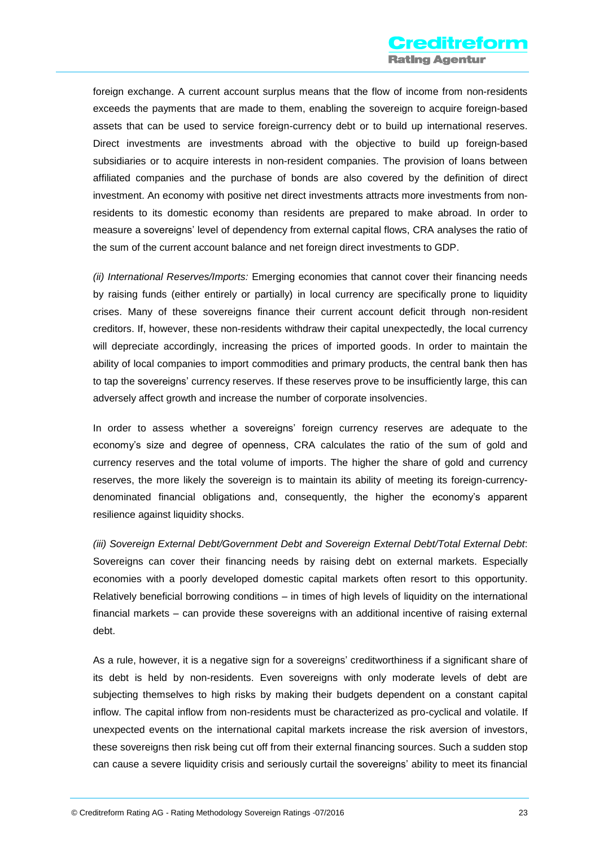foreign exchange. A current account surplus means that the flow of income from non-residents exceeds the payments that are made to them, enabling the sovereign to acquire foreign-based assets that can be used to service foreign-currency debt or to build up international reserves. Direct investments are investments abroad with the objective to build up foreign-based subsidiaries or to acquire interests in non-resident companies. The provision of loans between affiliated companies and the purchase of bonds are also covered by the definition of direct investment. An economy with positive net direct investments attracts more investments from nonresidents to its domestic economy than residents are prepared to make abroad. In order to measure a sovereigns' level of dependency from external capital flows, CRA analyses the ratio of the sum of the current account balance and net foreign direct investments to GDP.

*(ii) International Reserves/Imports:* Emerging economies that cannot cover their financing needs by raising funds (either entirely or partially) in local currency are specifically prone to liquidity crises. Many of these sovereigns finance their current account deficit through non-resident creditors. If, however, these non-residents withdraw their capital unexpectedly, the local currency will depreciate accordingly, increasing the prices of imported goods. In order to maintain the ability of local companies to import commodities and primary products, the central bank then has to tap the sovereigns' currency reserves. If these reserves prove to be insufficiently large, this can adversely affect growth and increase the number of corporate insolvencies.

In order to assess whether a sovereigns' foreign currency reserves are adequate to the economy's size and degree of openness, CRA calculates the ratio of the sum of gold and currency reserves and the total volume of imports. The higher the share of gold and currency reserves, the more likely the sovereign is to maintain its ability of meeting its foreign-currencydenominated financial obligations and, consequently, the higher the economy's apparent resilience against liquidity shocks.

*(iii) Sovereign External Debt/Government Debt and Sovereign External Debt/Total External Debt*: Sovereigns can cover their financing needs by raising debt on external markets. Especially economies with a poorly developed domestic capital markets often resort to this opportunity. Relatively beneficial borrowing conditions – in times of high levels of liquidity on the international financial markets – can provide these sovereigns with an additional incentive of raising external debt.

As a rule, however, it is a negative sign for a sovereigns' creditworthiness if a significant share of its debt is held by non-residents. Even sovereigns with only moderate levels of debt are subjecting themselves to high risks by making their budgets dependent on a constant capital inflow. The capital inflow from non-residents must be characterized as pro-cyclical and volatile. If unexpected events on the international capital markets increase the risk aversion of investors, these sovereigns then risk being cut off from their external financing sources. Such a sudden stop can cause a severe liquidity crisis and seriously curtail the sovereigns' ability to meet its financial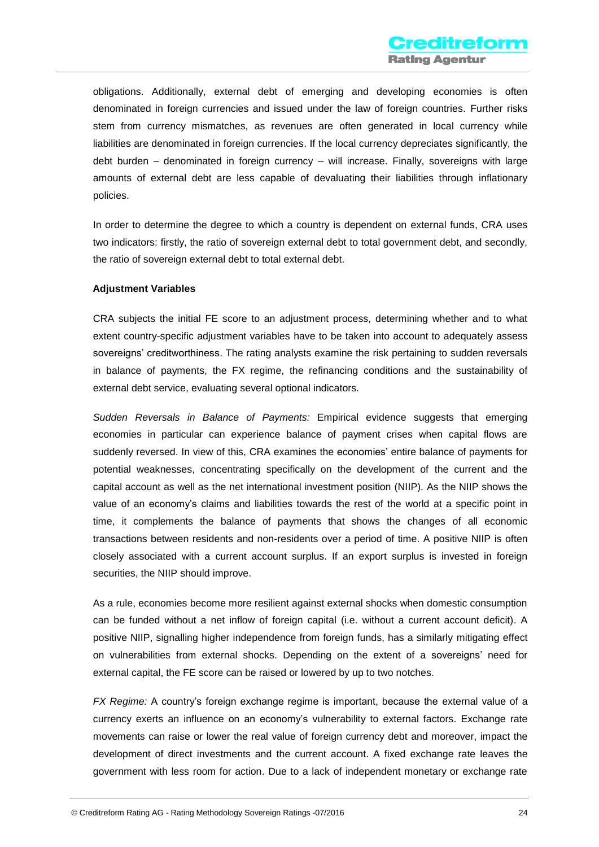obligations. Additionally, external debt of emerging and developing economies is often denominated in foreign currencies and issued under the law of foreign countries. Further risks stem from currency mismatches, as revenues are often generated in local currency while liabilities are denominated in foreign currencies. If the local currency depreciates significantly, the debt burden – denominated in foreign currency – will increase. Finally, sovereigns with large amounts of external debt are less capable of devaluating their liabilities through inflationary policies.

In order to determine the degree to which a country is dependent on external funds, CRA uses two indicators: firstly, the ratio of sovereign external debt to total government debt, and secondly, the ratio of sovereign external debt to total external debt.

#### **Adjustment Variables**

CRA subjects the initial FE score to an adjustment process, determining whether and to what extent country-specific adjustment variables have to be taken into account to adequately assess sovereigns' creditworthiness. The rating analysts examine the risk pertaining to sudden reversals in balance of payments, the FX regime, the refinancing conditions and the sustainability of external debt service, evaluating several optional indicators.

*Sudden Reversals in Balance of Payments:* Empirical evidence suggests that emerging economies in particular can experience balance of payment crises when capital flows are suddenly reversed. In view of this, CRA examines the economies' entire balance of payments for potential weaknesses, concentrating specifically on the development of the current and the capital account as well as the net international investment position (NIIP). As the NIIP shows the value of an economy's claims and liabilities towards the rest of the world at a specific point in time, it complements the balance of payments that shows the changes of all economic transactions between residents and non-residents over a period of time. A positive NIIP is often closely associated with a current account surplus. If an export surplus is invested in foreign securities, the NIIP should improve.

As a rule, economies become more resilient against external shocks when domestic consumption can be funded without a net inflow of foreign capital (i.e. without a current account deficit). A positive NIIP, signalling higher independence from foreign funds, has a similarly mitigating effect on vulnerabilities from external shocks. Depending on the extent of a sovereigns' need for external capital, the FE score can be raised or lowered by up to two notches.

*FX Regime:* A country's foreign exchange regime is important, because the external value of a currency exerts an influence on an economy's vulnerability to external factors. Exchange rate movements can raise or lower the real value of foreign currency debt and moreover, impact the development of direct investments and the current account. A fixed exchange rate leaves the government with less room for action. Due to a lack of independent monetary or exchange rate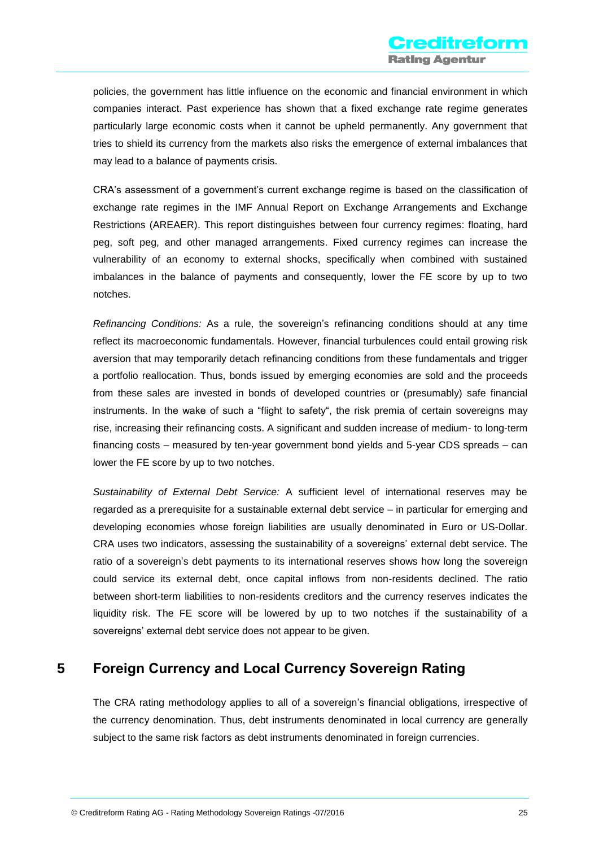policies, the government has little influence on the economic and financial environment in which companies interact. Past experience has shown that a fixed exchange rate regime generates particularly large economic costs when it cannot be upheld permanently. Any government that tries to shield its currency from the markets also risks the emergence of external imbalances that may lead to a balance of payments crisis.

CRA's assessment of a government's current exchange regime is based on the classification of exchange rate regimes in the IMF Annual Report on Exchange Arrangements and Exchange Restrictions (AREAER). This report distinguishes between four currency regimes: floating, hard peg, soft peg, and other managed arrangements. Fixed currency regimes can increase the vulnerability of an economy to external shocks, specifically when combined with sustained imbalances in the balance of payments and consequently, lower the FE score by up to two notches.

*Refinancing Conditions:* As a rule, the sovereign's refinancing conditions should at any time reflect its macroeconomic fundamentals. However, financial turbulences could entail growing risk aversion that may temporarily detach refinancing conditions from these fundamentals and trigger a portfolio reallocation. Thus, bonds issued by emerging economies are sold and the proceeds from these sales are invested in bonds of developed countries or (presumably) safe financial instruments. In the wake of such a "flight to safety", the risk premia of certain sovereigns may rise, increasing their refinancing costs. A significant and sudden increase of medium- to long-term financing costs – measured by ten-year government bond yields and 5-year CDS spreads – can lower the FE score by up to two notches.

*Sustainability of External Debt Service:* A sufficient level of international reserves may be regarded as a prerequisite for a sustainable external debt service – in particular for emerging and developing economies whose foreign liabilities are usually denominated in Euro or US-Dollar. CRA uses two indicators, assessing the sustainability of a sovereigns' external debt service. The ratio of a sovereign's debt payments to its international reserves shows how long the sovereign could service its external debt, once capital inflows from non-residents declined. The ratio between short-term liabilities to non-residents creditors and the currency reserves indicates the liquidity risk. The FE score will be lowered by up to two notches if the sustainability of a sovereigns' external debt service does not appear to be given.

# <span id="page-25-0"></span>**5 Foreign Currency and Local Currency Sovereign Rating**

The CRA rating methodology applies to all of a sovereign's financial obligations, irrespective of the currency denomination. Thus, debt instruments denominated in local currency are generally subject to the same risk factors as debt instruments denominated in foreign currencies.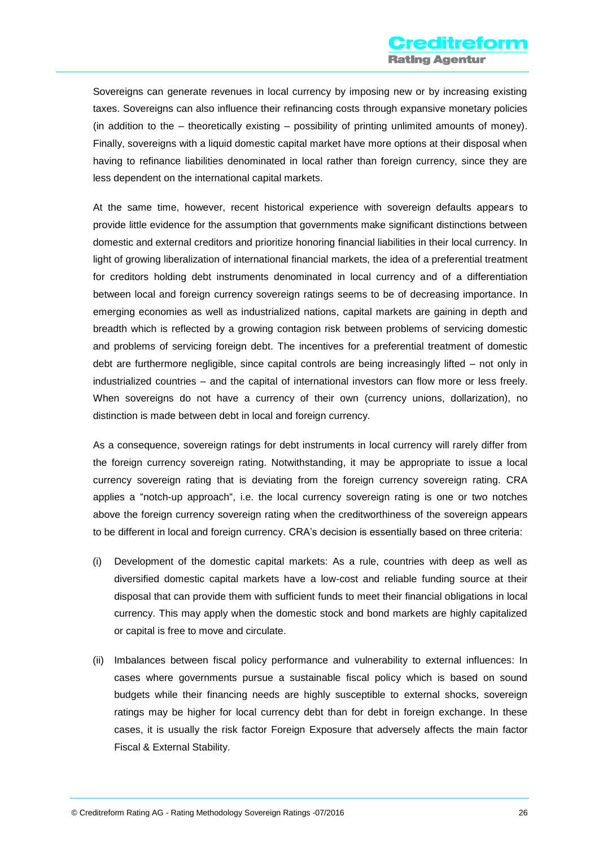Sovereigns can generate revenues in local currency by imposing new or by increasing existing taxes. Sovereigns can also influence their refinancing costs through expansive monetary policies (in addition to the – theoretically existing – possibility of printing unlimited amounts of money). Finally, sovereigns with a liquid domestic capital market have more options at their disposal when having to refinance liabilities denominated in local rather than foreign currency, since they are less dependent on the international capital markets.

At the same time, however, recent historical experience with sovereign defaults appears to provide little evidence for the assumption that governments make significant distinctions between domestic and external creditors and prioritize honoring financial liabilities in their local currency. In light of growing liberalization of international financial markets, the idea of a preferential treatment for creditors holding debt instruments denominated in local currency and of a differentiation between local and foreign currency sovereign ratings seems to be of decreasing importance. In emerging economies as well as industrialized nations, capital markets are gaining in depth and breadth which is reflected by a growing contagion risk between problems of servicing domestic and problems of servicing foreign debt. The incentives for a preferential treatment of domestic debt are furthermore negligible, since capital controls are being increasingly lifted – not only in industrialized countries – and the capital of international investors can flow more or less freely. When sovereigns do not have a currency of their own (currency unions, dollarization), no distinction is made between debt in local and foreign currency.

As a consequence, sovereign ratings for debt instruments in local currency will rarely differ from the foreign currency sovereign rating. Notwithstanding, it may be appropriate to issue a local currency sovereign rating that is deviating from the foreign currency sovereign rating. CRA applies a "notch-up approach", i.e. the local currency sovereign rating is one or two notches above the foreign currency sovereign rating when the creditworthiness of the sovereign appears to be different in local and foreign currency. CRA's decision is essentially based on three criteria:

- (i) Development of the domestic capital markets: As a rule, countries with deep as well as diversified domestic capital markets have a low-cost and reliable funding source at their disposal that can provide them with sufficient funds to meet their financial obligations in local currency. This may apply when the domestic stock and bond markets are highly capitalized or capital is free to move and circulate.
- (ii) Imbalances between fiscal policy performance and vulnerability to external influences: In cases where governments pursue a sustainable fiscal policy which is based on sound budgets while their financing needs are highly susceptible to external shocks, sovereign ratings may be higher for local currency debt than for debt in foreign exchange. In these cases, it is usually the risk factor Foreign Exposure that adversely affects the main factor Fiscal & External Stability.